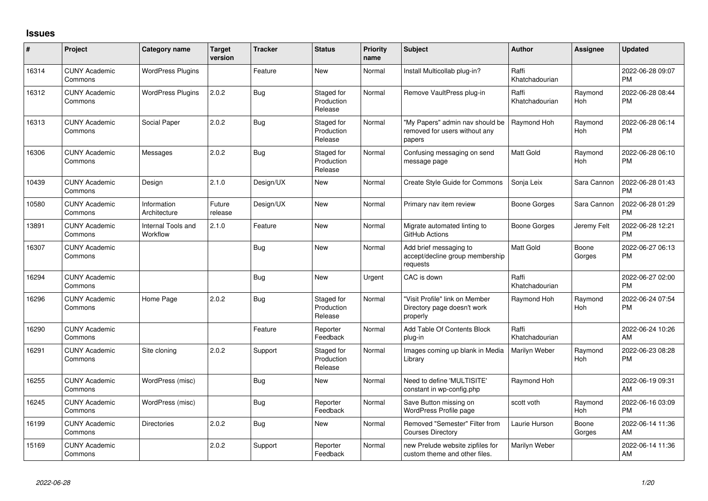## **Issues**

| #     | Project                         | <b>Category name</b>           | <b>Target</b><br>version | <b>Tracker</b> | <b>Status</b>                       | <b>Priority</b><br>name | <b>Subject</b>                                                             | Author                  | <b>Assignee</b> | <b>Updated</b>                |
|-------|---------------------------------|--------------------------------|--------------------------|----------------|-------------------------------------|-------------------------|----------------------------------------------------------------------------|-------------------------|-----------------|-------------------------------|
| 16314 | <b>CUNY Academic</b><br>Commons | <b>WordPress Plugins</b>       |                          | Feature        | <b>New</b>                          | Normal                  | Install Multicollab plug-in?                                               | Raffi<br>Khatchadourian |                 | 2022-06-28 09:07<br><b>PM</b> |
| 16312 | <b>CUNY Academic</b><br>Commons | <b>WordPress Plugins</b>       | 2.0.2                    | <b>Bug</b>     | Staged for<br>Production<br>Release | Normal                  | Remove VaultPress plug-in                                                  | Raffi<br>Khatchadourian | Raymond<br>Hoh  | 2022-06-28 08:44<br><b>PM</b> |
| 16313 | <b>CUNY Academic</b><br>Commons | Social Paper                   | 2.0.2                    | <b>Bug</b>     | Staged for<br>Production<br>Release | Normal                  | "My Papers" admin nav should be<br>removed for users without any<br>papers | Raymond Hoh             | Raymond<br>Hoh  | 2022-06-28 06:14<br><b>PM</b> |
| 16306 | <b>CUNY Academic</b><br>Commons | Messages                       | 2.0.2                    | Bug            | Staged for<br>Production<br>Release | Normal                  | Confusing messaging on send<br>message page                                | <b>Matt Gold</b>        | Raymond<br>Hoh  | 2022-06-28 06:10<br><b>PM</b> |
| 10439 | <b>CUNY Academic</b><br>Commons | Design                         | 2.1.0                    | Design/UX      | <b>New</b>                          | Normal                  | Create Style Guide for Commons                                             | Sonja Leix              | Sara Cannon     | 2022-06-28 01:43<br><b>PM</b> |
| 10580 | <b>CUNY Academic</b><br>Commons | Information<br>Architecture    | Future<br>release        | Design/UX      | New                                 | Normal                  | Primary nav item review                                                    | Boone Gorges            | Sara Cannon     | 2022-06-28 01:29<br><b>PM</b> |
| 13891 | <b>CUNY Academic</b><br>Commons | Internal Tools and<br>Workflow | 2.1.0                    | Feature        | <b>New</b>                          | Normal                  | Migrate automated linting to<br>GitHub Actions                             | Boone Gorges            | Jeremy Felt     | 2022-06-28 12:21<br><b>PM</b> |
| 16307 | <b>CUNY Academic</b><br>Commons |                                |                          | <b>Bug</b>     | New                                 | Normal                  | Add brief messaging to<br>accept/decline group membership<br>requests      | <b>Matt Gold</b>        | Boone<br>Gorges | 2022-06-27 06:13<br><b>PM</b> |
| 16294 | <b>CUNY Academic</b><br>Commons |                                |                          | <b>Bug</b>     | <b>New</b>                          | Urgent                  | CAC is down                                                                | Raffi<br>Khatchadourian |                 | 2022-06-27 02:00<br><b>PM</b> |
| 16296 | <b>CUNY Academic</b><br>Commons | Home Page                      | 2.0.2                    | <b>Bug</b>     | Staged for<br>Production<br>Release | Normal                  | "Visit Profile" link on Member<br>Directory page doesn't work<br>properly  | Raymond Hoh             | Raymond<br>Hoh  | 2022-06-24 07:54<br><b>PM</b> |
| 16290 | <b>CUNY Academic</b><br>Commons |                                |                          | Feature        | Reporter<br>Feedback                | Normal                  | Add Table Of Contents Block<br>plug-in                                     | Raffi<br>Khatchadourian |                 | 2022-06-24 10:26<br>AM        |
| 16291 | <b>CUNY Academic</b><br>Commons | Site cloning                   | 2.0.2                    | Support        | Staged for<br>Production<br>Release | Normal                  | Images coming up blank in Media<br>Library                                 | Marilyn Weber           | Raymond<br>Hoh  | 2022-06-23 08:28<br><b>PM</b> |
| 16255 | <b>CUNY Academic</b><br>Commons | WordPress (misc)               |                          | <b>Bug</b>     | <b>New</b>                          | Normal                  | Need to define 'MULTISITE'<br>constant in wp-config.php                    | Raymond Hoh             |                 | 2022-06-19 09:31<br>AM        |
| 16245 | <b>CUNY Academic</b><br>Commons | WordPress (misc)               |                          | Bug            | Reporter<br>Feedback                | Normal                  | Save Button missing on<br>WordPress Profile page                           | scott voth              | Raymond<br>Hoh  | 2022-06-16 03:09<br><b>PM</b> |
| 16199 | <b>CUNY Academic</b><br>Commons | Directories                    | 2.0.2                    | <b>Bug</b>     | New                                 | Normal                  | Removed "Semester" Filter from<br><b>Courses Directory</b>                 | Laurie Hurson           | Boone<br>Gorges | 2022-06-14 11:36<br>AM        |
| 15169 | <b>CUNY Academic</b><br>Commons |                                | 2.0.2                    | Support        | Reporter<br>Feedback                | Normal                  | new Prelude website zipfiles for<br>custom theme and other files.          | Marilyn Weber           |                 | 2022-06-14 11:36<br>AM        |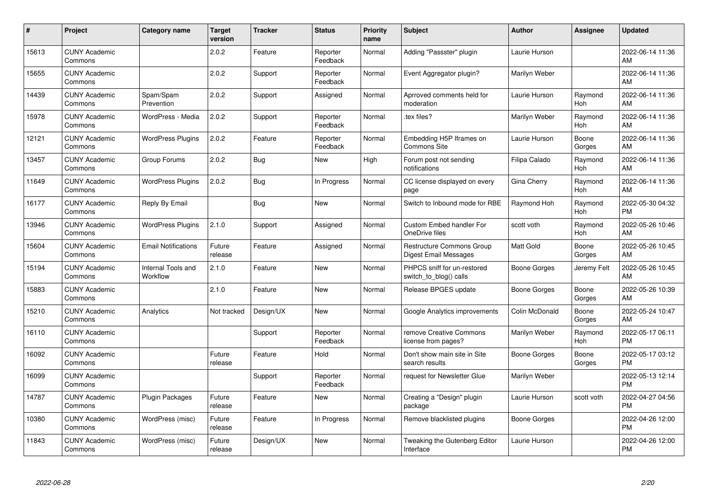| #     | Project                         | <b>Category name</b>           | <b>Target</b><br>version | <b>Tracker</b> | <b>Status</b>        | <b>Priority</b><br>name | <b>Subject</b>                                        | <b>Author</b>       | <b>Assignee</b>       | <b>Updated</b>                |
|-------|---------------------------------|--------------------------------|--------------------------|----------------|----------------------|-------------------------|-------------------------------------------------------|---------------------|-----------------------|-------------------------------|
| 15613 | <b>CUNY Academic</b><br>Commons |                                | 2.0.2                    | Feature        | Reporter<br>Feedback | Normal                  | Adding "Passster" plugin                              | Laurie Hurson       |                       | 2022-06-14 11:36<br>AM        |
| 15655 | <b>CUNY Academic</b><br>Commons |                                | 2.0.2                    | Support        | Reporter<br>Feedback | Normal                  | Event Aggregator plugin?                              | Marilyn Weber       |                       | 2022-06-14 11:36<br>AM        |
| 14439 | <b>CUNY Academic</b><br>Commons | Spam/Spam<br>Prevention        | 2.0.2                    | Support        | Assigned             | Normal                  | Aprroved comments held for<br>moderation              | Laurie Hurson       | Raymond<br>Hoh        | 2022-06-14 11:36<br>AM        |
| 15978 | <b>CUNY Academic</b><br>Commons | WordPress - Media              | 2.0.2                    | Support        | Reporter<br>Feedback | Normal                  | tex files?                                            | Marilyn Weber       | Raymond<br><b>Hoh</b> | 2022-06-14 11:36<br>AM        |
| 12121 | <b>CUNY Academic</b><br>Commons | <b>WordPress Plugins</b>       | 2.0.2                    | Feature        | Reporter<br>Feedback | Normal                  | Embedding H5P Iframes on<br><b>Commons Site</b>       | Laurie Hurson       | Boone<br>Gorges       | 2022-06-14 11:36<br>AM        |
| 13457 | <b>CUNY Academic</b><br>Commons | Group Forums                   | 2.0.2                    | Bug            | <b>New</b>           | High                    | Forum post not sending<br>notifications               | Filipa Calado       | Raymond<br>Hoh        | 2022-06-14 11:36<br>AM        |
| 11649 | <b>CUNY Academic</b><br>Commons | <b>WordPress Plugins</b>       | 2.0.2                    | <b>Bug</b>     | In Progress          | Normal                  | CC license displayed on every<br>page                 | Gina Cherry         | Raymond<br>Hoh        | 2022-06-14 11:36<br>AM        |
| 16177 | <b>CUNY Academic</b><br>Commons | Reply By Email                 |                          | Bug            | <b>New</b>           | Normal                  | Switch to Inbound mode for RBE                        | Raymond Hoh         | Raymond<br>Hoh        | 2022-05-30 04:32<br><b>PM</b> |
| 13946 | <b>CUNY Academic</b><br>Commons | <b>WordPress Plugins</b>       | 2.1.0                    | Support        | Assigned             | Normal                  | <b>Custom Embed handler For</b><br>OneDrive files     | scott voth          | Raymond<br><b>Hoh</b> | 2022-05-26 10:46<br>AM        |
| 15604 | <b>CUNY Academic</b><br>Commons | <b>Email Notifications</b>     | Future<br>release        | Feature        | Assigned             | Normal                  | Restructure Commons Group<br>Digest Email Messages    | <b>Matt Gold</b>    | Boone<br>Gorges       | 2022-05-26 10:45<br>AM        |
| 15194 | <b>CUNY Academic</b><br>Commons | Internal Tools and<br>Workflow | 2.1.0                    | Feature        | <b>New</b>           | Normal                  | PHPCS sniff for un-restored<br>switch_to_blog() calls | Boone Gorges        | Jeremy Felt           | 2022-05-26 10:45<br>AM        |
| 15883 | <b>CUNY Academic</b><br>Commons |                                | 2.1.0                    | Feature        | <b>New</b>           | Normal                  | Release BPGES update                                  | <b>Boone Gorges</b> | Boone<br>Gorges       | 2022-05-26 10:39<br>AM        |
| 15210 | <b>CUNY Academic</b><br>Commons | Analytics                      | Not tracked              | Design/UX      | <b>New</b>           | Normal                  | Google Analytics improvements                         | Colin McDonald      | Boone<br>Gorges       | 2022-05-24 10:47<br>AM        |
| 16110 | <b>CUNY Academic</b><br>Commons |                                |                          | Support        | Reporter<br>Feedback | Normal                  | remove Creative Commons<br>license from pages?        | Marilyn Weber       | Raymond<br>Hoh        | 2022-05-17 06:11<br><b>PM</b> |
| 16092 | <b>CUNY Academic</b><br>Commons |                                | Future<br>release        | Feature        | Hold                 | Normal                  | Don't show main site in Site<br>search results        | <b>Boone Gorges</b> | Boone<br>Gorges       | 2022-05-17 03:12<br><b>PM</b> |
| 16099 | <b>CUNY Academic</b><br>Commons |                                |                          | Support        | Reporter<br>Feedback | Normal                  | request for Newsletter Glue                           | Marilyn Weber       |                       | 2022-05-13 12:14<br><b>PM</b> |
| 14787 | <b>CUNY Academic</b><br>Commons | <b>Plugin Packages</b>         | Future<br>release        | Feature        | <b>New</b>           | Normal                  | Creating a "Design" plugin<br>package                 | Laurie Hurson       | scott voth            | 2022-04-27 04:56<br><b>PM</b> |
| 10380 | <b>CUNY Academic</b><br>Commons | WordPress (misc)               | Future<br>release        | Feature        | In Progress          | Normal                  | Remove blacklisted plugins                            | Boone Gorges        |                       | 2022-04-26 12:00<br><b>PM</b> |
| 11843 | <b>CUNY Academic</b><br>Commons | WordPress (misc)               | Future<br>release        | Design/UX      | <b>New</b>           | Normal                  | Tweaking the Gutenberg Editor<br>Interface            | Laurie Hurson       |                       | 2022-04-26 12:00<br>PM        |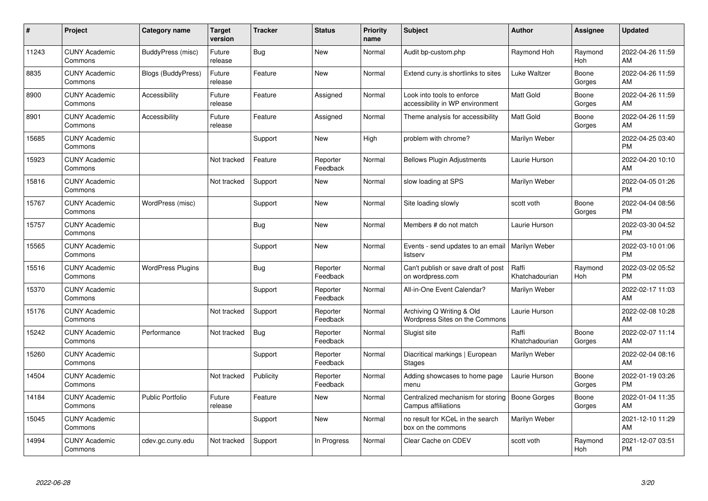| #     | Project                         | <b>Category name</b>     | <b>Target</b><br>version | Tracker    | <b>Status</b>        | <b>Priority</b><br>name | <b>Subject</b>                                                | <b>Author</b>           | Assignee        | <b>Updated</b>                |
|-------|---------------------------------|--------------------------|--------------------------|------------|----------------------|-------------------------|---------------------------------------------------------------|-------------------------|-----------------|-------------------------------|
| 11243 | <b>CUNY Academic</b><br>Commons | BuddyPress (misc)        | Future<br>release        | <b>Bug</b> | <b>New</b>           | Normal                  | Audit bp-custom.php                                           | Raymond Hoh             | Raymond<br>Hoh  | 2022-04-26 11:59<br>AM        |
| 8835  | <b>CUNY Academic</b><br>Commons | Blogs (BuddyPress)       | Future<br>release        | Feature    | New                  | Normal                  | Extend cuny.is shortlinks to sites                            | Luke Waltzer            | Boone<br>Gorges | 2022-04-26 11:59<br>AM        |
| 8900  | <b>CUNY Academic</b><br>Commons | Accessibility            | Future<br>release        | Feature    | Assigned             | Normal                  | Look into tools to enforce<br>accessibility in WP environment | <b>Matt Gold</b>        | Boone<br>Gorges | 2022-04-26 11:59<br>AM        |
| 8901  | <b>CUNY Academic</b><br>Commons | Accessibility            | Future<br>release        | Feature    | Assigned             | Normal                  | Theme analysis for accessibility                              | Matt Gold               | Boone<br>Gorges | 2022-04-26 11:59<br>AM        |
| 15685 | <b>CUNY Academic</b><br>Commons |                          |                          | Support    | <b>New</b>           | High                    | problem with chrome?                                          | Marilyn Weber           |                 | 2022-04-25 03:40<br><b>PM</b> |
| 15923 | <b>CUNY Academic</b><br>Commons |                          | Not tracked              | Feature    | Reporter<br>Feedback | Normal                  | <b>Bellows Plugin Adjustments</b>                             | Laurie Hurson           |                 | 2022-04-20 10:10<br>AM        |
| 15816 | <b>CUNY Academic</b><br>Commons |                          | Not tracked              | Support    | <b>New</b>           | Normal                  | slow loading at SPS                                           | Marilyn Weber           |                 | 2022-04-05 01:26<br><b>PM</b> |
| 15767 | <b>CUNY Academic</b><br>Commons | WordPress (misc)         |                          | Support    | <b>New</b>           | Normal                  | Site loading slowly                                           | scott voth              | Boone<br>Gorges | 2022-04-04 08:56<br><b>PM</b> |
| 15757 | <b>CUNY Academic</b><br>Commons |                          |                          | Bug        | <b>New</b>           | Normal                  | Members # do not match                                        | Laurie Hurson           |                 | 2022-03-30 04:52<br><b>PM</b> |
| 15565 | <b>CUNY Academic</b><br>Commons |                          |                          | Support    | <b>New</b>           | Normal                  | Events - send updates to an email<br>listserv                 | Marilyn Weber           |                 | 2022-03-10 01:06<br><b>PM</b> |
| 15516 | <b>CUNY Academic</b><br>Commons | <b>WordPress Plugins</b> |                          | <b>Bug</b> | Reporter<br>Feedback | Normal                  | Can't publish or save draft of post<br>on wordpress.com       | Raffi<br>Khatchadourian | Raymond<br>Hoh  | 2022-03-02 05:52<br><b>PM</b> |
| 15370 | <b>CUNY Academic</b><br>Commons |                          |                          | Support    | Reporter<br>Feedback | Normal                  | All-in-One Event Calendar?                                    | Marilyn Weber           |                 | 2022-02-17 11:03<br>AM        |
| 15176 | <b>CUNY Academic</b><br>Commons |                          | Not tracked              | Support    | Reporter<br>Feedback | Normal                  | Archiving Q Writing & Old<br>Wordpress Sites on the Commons   | Laurie Hurson           |                 | 2022-02-08 10:28<br>AM        |
| 15242 | <b>CUNY Academic</b><br>Commons | Performance              | Not tracked              | Bug        | Reporter<br>Feedback | Normal                  | Slugist site                                                  | Raffi<br>Khatchadourian | Boone<br>Gorges | 2022-02-07 11:14<br>AM        |
| 15260 | <b>CUNY Academic</b><br>Commons |                          |                          | Support    | Reporter<br>Feedback | Normal                  | Diacritical markings   European<br><b>Stages</b>              | Marilyn Weber           |                 | 2022-02-04 08:16<br>AM        |
| 14504 | <b>CUNY Academic</b><br>Commons |                          | Not tracked              | Publicity  | Reporter<br>Feedback | Normal                  | Adding showcases to home page<br>menu                         | Laurie Hurson           | Boone<br>Gorges | 2022-01-19 03:26<br><b>PM</b> |
| 14184 | <b>CUNY Academic</b><br>Commons | <b>Public Portfolio</b>  | Future<br>release        | Feature    | <b>New</b>           | Normal                  | Centralized mechanism for storing<br>Campus affiliations      | <b>Boone Gorges</b>     | Boone<br>Gorges | 2022-01-04 11:35<br>AM        |
| 15045 | <b>CUNY Academic</b><br>Commons |                          |                          | Support    | <b>New</b>           | Normal                  | no result for KCeL in the search<br>box on the commons        | Marilyn Weber           |                 | 2021-12-10 11:29<br>AM        |
| 14994 | <b>CUNY Academic</b><br>Commons | cdev.gc.cuny.edu         | Not tracked              | Support    | In Progress          | Normal                  | Clear Cache on CDEV                                           | scott voth              | Raymond<br>Hoh  | 2021-12-07 03:51<br><b>PM</b> |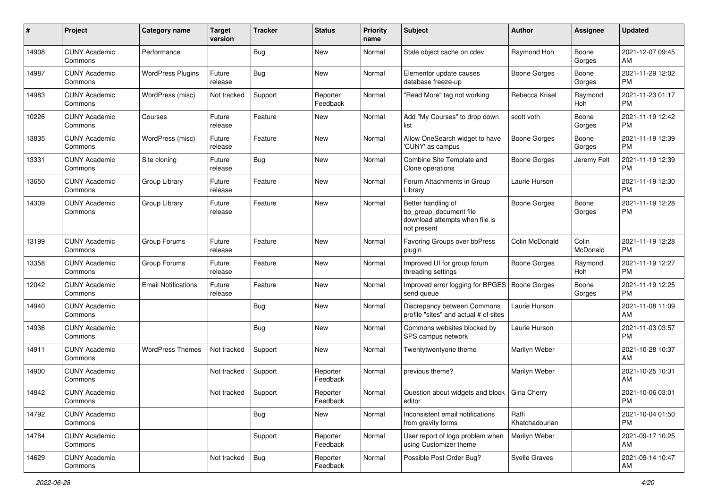| #     | Project                         | <b>Category name</b>       | <b>Target</b><br>version | <b>Tracker</b> | <b>Status</b>        | <b>Priority</b><br>name | Subject                                                                                       | Author                  | Assignee          | <b>Updated</b>                |
|-------|---------------------------------|----------------------------|--------------------------|----------------|----------------------|-------------------------|-----------------------------------------------------------------------------------------------|-------------------------|-------------------|-------------------------------|
| 14908 | <b>CUNY Academic</b><br>Commons | Performance                |                          | Bug            | New                  | Normal                  | Stale object cache on cdev                                                                    | Raymond Hoh             | Boone<br>Gorges   | 2021-12-07 09:45<br>AM        |
| 14987 | <b>CUNY Academic</b><br>Commons | <b>WordPress Plugins</b>   | Future<br>release        | <b>Bug</b>     | New                  | Normal                  | Elementor update causes<br>database freeze-up                                                 | <b>Boone Gorges</b>     | Boone<br>Gorges   | 2021-11-29 12:02<br><b>PM</b> |
| 14983 | <b>CUNY Academic</b><br>Commons | WordPress (misc)           | Not tracked              | Support        | Reporter<br>Feedback | Normal                  | "Read More" tag not working                                                                   | Rebecca Krisel          | Raymond<br>Hoh    | 2021-11-23 01:17<br><b>PM</b> |
| 10226 | <b>CUNY Academic</b><br>Commons | Courses                    | Future<br>release        | Feature        | New                  | Normal                  | Add "My Courses" to drop down<br>list                                                         | scott voth              | Boone<br>Gorges   | 2021-11-19 12:42<br><b>PM</b> |
| 13835 | <b>CUNY Academic</b><br>Commons | WordPress (misc)           | Future<br>release        | Feature        | New                  | Normal                  | Allow OneSearch widget to have<br>'CUNY' as campus                                            | <b>Boone Gorges</b>     | Boone<br>Gorges   | 2021-11-19 12:39<br><b>PM</b> |
| 13331 | <b>CUNY Academic</b><br>Commons | Site cloning               | Future<br>release        | Bug            | <b>New</b>           | Normal                  | Combine Site Template and<br>Clone operations                                                 | <b>Boone Gorges</b>     | Jeremy Felt       | 2021-11-19 12:39<br><b>PM</b> |
| 13650 | <b>CUNY Academic</b><br>Commons | Group Library              | Future<br>release        | Feature        | New                  | Normal                  | Forum Attachments in Group<br>Library                                                         | Laurie Hurson           |                   | 2021-11-19 12:30<br><b>PM</b> |
| 14309 | <b>CUNY Academic</b><br>Commons | Group Library              | Future<br>release        | Feature        | New                  | Normal                  | Better handling of<br>bp_group_document file<br>download attempts when file is<br>not present | <b>Boone Gorges</b>     | Boone<br>Gorges   | 2021-11-19 12:28<br><b>PM</b> |
| 13199 | <b>CUNY Academic</b><br>Commons | Group Forums               | Future<br>release        | Feature        | New                  | Normal                  | Favoring Groups over bbPress<br>plugin                                                        | Colin McDonald          | Colin<br>McDonald | 2021-11-19 12:28<br><b>PM</b> |
| 13358 | <b>CUNY Academic</b><br>Commons | Group Forums               | Future<br>release        | Feature        | <b>New</b>           | Normal                  | Improved UI for group forum<br>threading settings                                             | <b>Boone Gorges</b>     | Raymond<br>Hoh    | 2021-11-19 12:27<br><b>PM</b> |
| 12042 | <b>CUNY Academic</b><br>Commons | <b>Email Notifications</b> | Future<br>release        | Feature        | New                  | Normal                  | Improved error logging for BPGES   Boone Gorges<br>send queue                                 |                         | Boone<br>Gorges   | 2021-11-19 12:25<br><b>PM</b> |
| 14940 | <b>CUNY Academic</b><br>Commons |                            |                          | <b>Bug</b>     | <b>New</b>           | Normal                  | Discrepancy between Commons<br>profile "sites" and actual # of sites                          | Laurie Hurson           |                   | 2021-11-08 11:09<br>AM        |
| 14936 | <b>CUNY Academic</b><br>Commons |                            |                          | Bug            | <b>New</b>           | Normal                  | Commons websites blocked by<br>SPS campus network                                             | Laurie Hurson           |                   | 2021-11-03 03:57<br><b>PM</b> |
| 14911 | <b>CUNY Academic</b><br>Commons | <b>WordPress Themes</b>    | Not tracked              | Support        | <b>New</b>           | Normal                  | Twentytwentyone theme                                                                         | Marilyn Weber           |                   | 2021-10-28 10:37<br>AM        |
| 14900 | <b>CUNY Academic</b><br>Commons |                            | Not tracked              | Support        | Reporter<br>Feedback | Normal                  | previous theme?                                                                               | Marilyn Weber           |                   | 2021-10-25 10:31<br>AM        |
| 14842 | <b>CUNY Academic</b><br>Commons |                            | Not tracked              | Support        | Reporter<br>Feedback | Normal                  | Question about widgets and block<br>editor                                                    | <b>Gina Cherry</b>      |                   | 2021-10-06 03:01<br>PM        |
| 14792 | <b>CUNY Academic</b><br>Commons |                            |                          | Bug            | New                  | Normal                  | Inconsistent email notifications<br>from gravity forms                                        | Raffi<br>Khatchadourian |                   | 2021-10-04 01:50<br><b>PM</b> |
| 14784 | <b>CUNY Academic</b><br>Commons |                            |                          | Support        | Reporter<br>Feedback | Normal                  | User report of logo problem when<br>using Customizer theme                                    | Marilyn Weber           |                   | 2021-09-17 10:25<br>AM        |
| 14629 | <b>CUNY Academic</b><br>Commons |                            | Not tracked              | <b>Bug</b>     | Reporter<br>Feedback | Normal                  | Possible Post Order Bug?                                                                      | Syelle Graves           |                   | 2021-09-14 10:47<br>AM        |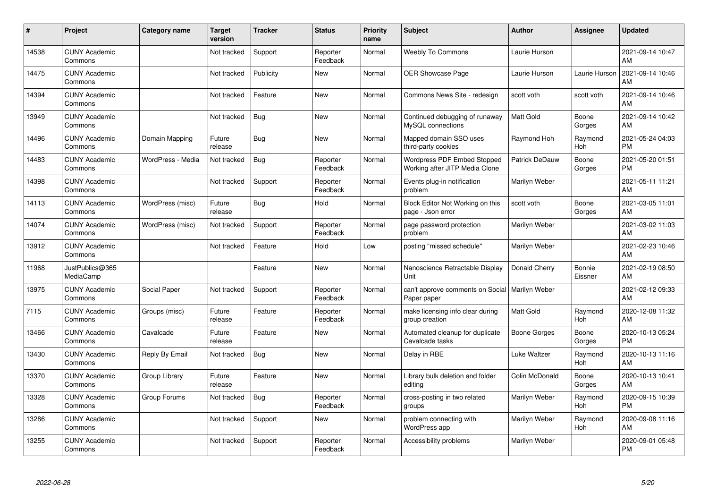| #     | Project                         | <b>Category name</b> | <b>Target</b><br>version | <b>Tracker</b> | <b>Status</b>        | <b>Priority</b><br>name | <b>Subject</b>                                                  | <b>Author</b>         | <b>Assignee</b>       | <b>Updated</b>                |
|-------|---------------------------------|----------------------|--------------------------|----------------|----------------------|-------------------------|-----------------------------------------------------------------|-----------------------|-----------------------|-------------------------------|
| 14538 | <b>CUNY Academic</b><br>Commons |                      | Not tracked              | Support        | Reporter<br>Feedback | Normal                  | <b>Weebly To Commons</b>                                        | Laurie Hurson         |                       | 2021-09-14 10:47<br>AM        |
| 14475 | <b>CUNY Academic</b><br>Commons |                      | Not tracked              | Publicity      | <b>New</b>           | Normal                  | <b>OER Showcase Page</b>                                        | Laurie Hurson         | Laurie Hurson         | 2021-09-14 10:46<br>AM        |
| 14394 | <b>CUNY Academic</b><br>Commons |                      | Not tracked              | Feature        | <b>New</b>           | Normal                  | Commons News Site - redesign                                    | scott voth            | scott voth            | 2021-09-14 10:46<br>AM        |
| 13949 | <b>CUNY Academic</b><br>Commons |                      | Not tracked              | Bug            | <b>New</b>           | Normal                  | Continued debugging of runaway<br>MySQL connections             | Matt Gold             | Boone<br>Gorges       | 2021-09-14 10:42<br>AM        |
| 14496 | <b>CUNY Academic</b><br>Commons | Domain Mapping       | Future<br>release        | Bug            | <b>New</b>           | Normal                  | Mapped domain SSO uses<br>third-party cookies                   | Raymond Hoh           | Raymond<br>Hoh        | 2021-05-24 04:03<br><b>PM</b> |
| 14483 | <b>CUNY Academic</b><br>Commons | WordPress - Media    | Not tracked              | Bug            | Reporter<br>Feedback | Normal                  | Wordpress PDF Embed Stopped<br>Working after JITP Media Clone   | <b>Patrick DeDauw</b> | Boone<br>Gorges       | 2021-05-20 01:51<br><b>PM</b> |
| 14398 | <b>CUNY Academic</b><br>Commons |                      | Not tracked              | Support        | Reporter<br>Feedback | Normal                  | Events plug-in notification<br>problem                          | Marilyn Weber         |                       | 2021-05-11 11:21<br>AM        |
| 14113 | <b>CUNY Academic</b><br>Commons | WordPress (misc)     | Future<br>release        | Bug            | Hold                 | Normal                  | Block Editor Not Working on this<br>page - Json error           | scott voth            | Boone<br>Gorges       | 2021-03-05 11:01<br>AM        |
| 14074 | <b>CUNY Academic</b><br>Commons | WordPress (misc)     | Not tracked              | Support        | Reporter<br>Feedback | Normal                  | page password protection<br>problem                             | Marilyn Weber         |                       | 2021-03-02 11:03<br>AM        |
| 13912 | <b>CUNY Academic</b><br>Commons |                      | Not tracked              | Feature        | Hold                 | Low                     | posting "missed schedule"                                       | Marilyn Weber         |                       | 2021-02-23 10:46<br>AM        |
| 11968 | JustPublics@365<br>MediaCamp    |                      |                          | Feature        | <b>New</b>           | Normal                  | Nanoscience Retractable Display<br>Unit                         | Donald Cherry         | Bonnie<br>Eissner     | 2021-02-19 08:50<br>AM        |
| 13975 | <b>CUNY Academic</b><br>Commons | Social Paper         | Not tracked              | Support        | Reporter<br>Feedback | Normal                  | can't approve comments on Social   Marilyn Weber<br>Paper paper |                       |                       | 2021-02-12 09:33<br>AM        |
| 7115  | <b>CUNY Academic</b><br>Commons | Groups (misc)        | Future<br>release        | Feature        | Reporter<br>Feedback | Normal                  | make licensing info clear during<br>group creation              | <b>Matt Gold</b>      | Raymond<br>Hoh        | 2020-12-08 11:32<br>AM        |
| 13466 | <b>CUNY Academic</b><br>Commons | Cavalcade            | Future<br>release        | Feature        | <b>New</b>           | Normal                  | Automated cleanup for duplicate<br>Cavalcade tasks              | <b>Boone Gorges</b>   | Boone<br>Gorges       | 2020-10-13 05:24<br><b>PM</b> |
| 13430 | <b>CUNY Academic</b><br>Commons | Reply By Email       | Not tracked              | Bug            | New                  | Normal                  | Delay in RBE                                                    | Luke Waltzer          | Raymond<br>Hoh        | 2020-10-13 11:16<br>AM        |
| 13370 | <b>CUNY Academic</b><br>Commons | Group Library        | Future<br>release        | Feature        | <b>New</b>           | Normal                  | Library bulk deletion and folder<br>editing                     | Colin McDonald        | Boone<br>Gorges       | 2020-10-13 10:41<br>AM        |
| 13328 | <b>CUNY Academic</b><br>Commons | Group Forums         | Not tracked              | Bug            | Reporter<br>Feedback | Normal                  | cross-posting in two related<br>groups                          | Marilyn Weber         | Raymond<br><b>Hoh</b> | 2020-09-15 10:39<br><b>PM</b> |
| 13286 | <b>CUNY Academic</b><br>Commons |                      | Not tracked              | Support        | New                  | Normal                  | problem connecting with<br>WordPress app                        | Marilyn Weber         | Raymond<br>Hoh        | 2020-09-08 11:16<br>AM        |
| 13255 | <b>CUNY Academic</b><br>Commons |                      | Not tracked              | Support        | Reporter<br>Feedback | Normal                  | Accessibility problems                                          | Marilyn Weber         |                       | 2020-09-01 05:48<br>PM        |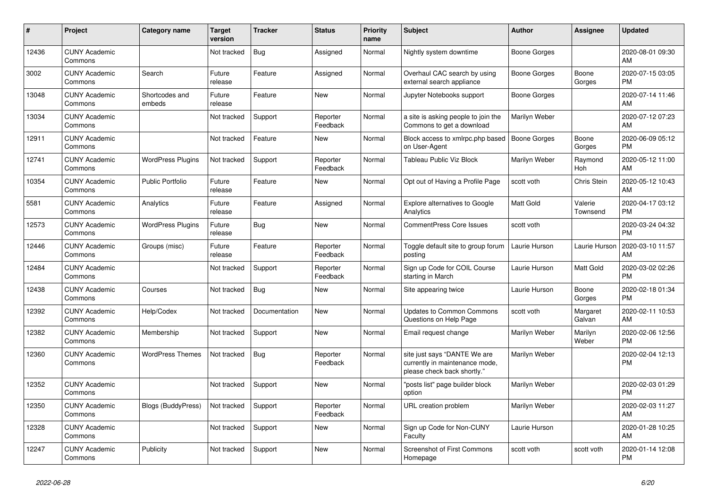| #     | Project                         | <b>Category name</b>      | <b>Target</b><br>version | <b>Tracker</b> | <b>Status</b>        | Priority<br>name | <b>Subject</b>                                                                                | <b>Author</b>       | <b>Assignee</b>     | <b>Updated</b>                |
|-------|---------------------------------|---------------------------|--------------------------|----------------|----------------------|------------------|-----------------------------------------------------------------------------------------------|---------------------|---------------------|-------------------------------|
| 12436 | <b>CUNY Academic</b><br>Commons |                           | Not tracked              | <b>Bug</b>     | Assigned             | Normal           | Nightly system downtime                                                                       | Boone Gorges        |                     | 2020-08-01 09:30<br>AM        |
| 3002  | <b>CUNY Academic</b><br>Commons | Search                    | Future<br>release        | Feature        | Assigned             | Normal           | Overhaul CAC search by using<br>external search appliance                                     | Boone Gorges        | Boone<br>Gorges     | 2020-07-15 03:05<br><b>PM</b> |
| 13048 | <b>CUNY Academic</b><br>Commons | Shortcodes and<br>embeds  | Future<br>release        | Feature        | <b>New</b>           | Normal           | Jupyter Notebooks support                                                                     | Boone Gorges        |                     | 2020-07-14 11:46<br>AM        |
| 13034 | <b>CUNY Academic</b><br>Commons |                           | Not tracked              | Support        | Reporter<br>Feedback | Normal           | a site is asking people to join the<br>Commons to get a download                              | Marilyn Weber       |                     | 2020-07-12 07:23<br>AM        |
| 12911 | <b>CUNY Academic</b><br>Commons |                           | Not tracked              | Feature        | <b>New</b>           | Normal           | Block access to xmlrpc.php based<br>on User-Agent                                             | <b>Boone Gorges</b> | Boone<br>Gorges     | 2020-06-09 05:12<br><b>PM</b> |
| 12741 | <b>CUNY Academic</b><br>Commons | <b>WordPress Plugins</b>  | Not tracked              | Support        | Reporter<br>Feedback | Normal           | Tableau Public Viz Block                                                                      | Marilyn Weber       | Raymond<br>Hoh      | 2020-05-12 11:00<br>AM        |
| 10354 | <b>CUNY Academic</b><br>Commons | <b>Public Portfolio</b>   | Future<br>release        | Feature        | <b>New</b>           | Normal           | Opt out of Having a Profile Page                                                              | scott voth          | Chris Stein         | 2020-05-12 10:43<br>AM        |
| 5581  | <b>CUNY Academic</b><br>Commons | Analytics                 | Future<br>release        | Feature        | Assigned             | Normal           | <b>Explore alternatives to Google</b><br>Analytics                                            | Matt Gold           | Valerie<br>Townsend | 2020-04-17 03:12<br><b>PM</b> |
| 12573 | <b>CUNY Academic</b><br>Commons | <b>WordPress Plugins</b>  | Future<br>release        | <b>Bug</b>     | <b>New</b>           | Normal           | CommentPress Core Issues                                                                      | scott voth          |                     | 2020-03-24 04:32<br><b>PM</b> |
| 12446 | <b>CUNY Academic</b><br>Commons | Groups (misc)             | Future<br>release        | Feature        | Reporter<br>Feedback | Normal           | Toggle default site to group forum<br>posting                                                 | Laurie Hurson       | Laurie Hurson       | 2020-03-10 11:57<br>AM        |
| 12484 | <b>CUNY Academic</b><br>Commons |                           | Not tracked              | Support        | Reporter<br>Feedback | Normal           | Sign up Code for COIL Course<br>starting in March                                             | Laurie Hurson       | Matt Gold           | 2020-03-02 02:26<br><b>PM</b> |
| 12438 | <b>CUNY Academic</b><br>Commons | Courses                   | Not tracked              | Bug            | <b>New</b>           | Normal           | Site appearing twice                                                                          | Laurie Hurson       | Boone<br>Gorges     | 2020-02-18 01:34<br><b>PM</b> |
| 12392 | <b>CUNY Academic</b><br>Commons | Help/Codex                | Not tracked              | Documentation  | <b>New</b>           | Normal           | <b>Updates to Common Commons</b><br>Questions on Help Page                                    | scott voth          | Margaret<br>Galvan  | 2020-02-11 10:53<br>AM        |
| 12382 | <b>CUNY Academic</b><br>Commons | Membership                | Not tracked              | Support        | <b>New</b>           | Normal           | Email request change                                                                          | Marilyn Weber       | Marilyn<br>Weber    | 2020-02-06 12:56<br><b>PM</b> |
| 12360 | <b>CUNY Academic</b><br>Commons | <b>WordPress Themes</b>   | Not tracked              | <b>Bug</b>     | Reporter<br>Feedback | Normal           | site just says "DANTE We are<br>currently in maintenance mode,<br>please check back shortly." | Marilyn Weber       |                     | 2020-02-04 12:13<br><b>PM</b> |
| 12352 | <b>CUNY Academic</b><br>Commons |                           | Not tracked              | Support        | <b>New</b>           | Normal           | "posts list" page builder block<br>option                                                     | Marilyn Weber       |                     | 2020-02-03 01:29<br><b>PM</b> |
| 12350 | <b>CUNY Academic</b><br>Commons | <b>Blogs (BuddyPress)</b> | Not tracked              | Support        | Reporter<br>Feedback | Normal           | <b>URL</b> creation problem                                                                   | Marilyn Weber       |                     | 2020-02-03 11:27<br>AM        |
| 12328 | <b>CUNY Academic</b><br>Commons |                           | Not tracked              | Support        | <b>New</b>           | Normal           | Sign up Code for Non-CUNY<br>Faculty                                                          | Laurie Hurson       |                     | 2020-01-28 10:25<br>AM        |
| 12247 | <b>CUNY Academic</b><br>Commons | Publicity                 | Not tracked              | Support        | <b>New</b>           | Normal           | <b>Screenshot of First Commons</b><br>Homepage                                                | scott voth          | scott voth          | 2020-01-14 12:08<br><b>PM</b> |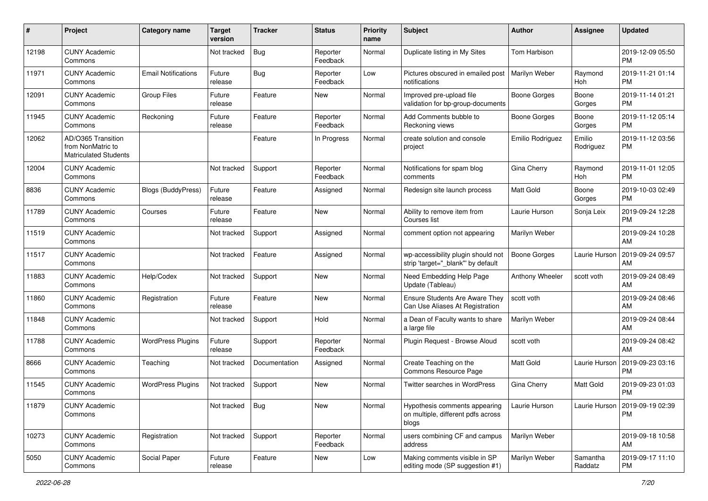| $\#$  | Project                                                                 | <b>Category name</b>       | <b>Target</b><br>version | <b>Tracker</b> | <b>Status</b>        | <b>Priority</b><br>name | Subject                                                                      | <b>Author</b>       | Assignee              | <b>Updated</b>                |
|-------|-------------------------------------------------------------------------|----------------------------|--------------------------|----------------|----------------------|-------------------------|------------------------------------------------------------------------------|---------------------|-----------------------|-------------------------------|
| 12198 | <b>CUNY Academic</b><br>Commons                                         |                            | Not tracked              | <b>Bug</b>     | Reporter<br>Feedback | Normal                  | Duplicate listing in My Sites                                                | Tom Harbison        |                       | 2019-12-09 05:50<br><b>PM</b> |
| 11971 | <b>CUNY Academic</b><br>Commons                                         | <b>Email Notifications</b> | Future<br>release        | <b>Bug</b>     | Reporter<br>Feedback | Low                     | Pictures obscured in emailed post<br>notifications                           | Marilyn Weber       | Raymond<br><b>Hoh</b> | 2019-11-21 01:14<br><b>PM</b> |
| 12091 | <b>CUNY Academic</b><br>Commons                                         | <b>Group Files</b>         | Future<br>release        | Feature        | New                  | Normal                  | Improved pre-upload file<br>validation for bp-group-documents                | <b>Boone Gorges</b> | Boone<br>Gorges       | 2019-11-14 01:21<br><b>PM</b> |
| 11945 | <b>CUNY Academic</b><br>Commons                                         | Reckoning                  | Future<br>release        | Feature        | Reporter<br>Feedback | Normal                  | Add Comments bubble to<br>Reckoning views                                    | Boone Gorges        | Boone<br>Gorges       | 2019-11-12 05:14<br><b>PM</b> |
| 12062 | AD/O365 Transition<br>from NonMatric to<br><b>Matriculated Students</b> |                            |                          | Feature        | In Progress          | Normal                  | create solution and console<br>project                                       | Emilio Rodriguez    | Emilio<br>Rodriguez   | 2019-11-12 03:56<br><b>PM</b> |
| 12004 | <b>CUNY Academic</b><br>Commons                                         |                            | Not tracked              | Support        | Reporter<br>Feedback | Normal                  | Notifications for spam blog<br>comments                                      | Gina Cherry         | Raymond<br>Hoh        | 2019-11-01 12:05<br><b>PM</b> |
| 8836  | <b>CUNY Academic</b><br>Commons                                         | Blogs (BuddyPress)         | Future<br>release        | Feature        | Assigned             | Normal                  | Redesign site launch process                                                 | <b>Matt Gold</b>    | Boone<br>Gorges       | 2019-10-03 02:49<br><b>PM</b> |
| 11789 | <b>CUNY Academic</b><br>Commons                                         | Courses                    | Future<br>release        | Feature        | New                  | Normal                  | Ability to remove item from<br>Courses list                                  | Laurie Hurson       | Sonja Leix            | 2019-09-24 12:28<br><b>PM</b> |
| 11519 | <b>CUNY Academic</b><br>Commons                                         |                            | Not tracked              | Support        | Assigned             | Normal                  | comment option not appearing                                                 | Marilyn Weber       |                       | 2019-09-24 10:28<br>AM        |
| 11517 | <b>CUNY Academic</b><br>Commons                                         |                            | Not tracked              | Feature        | Assigned             | Normal                  | wp-accessibility plugin should not<br>strip 'target="_blank" by default      | <b>Boone Gorges</b> | Laurie Hurson         | 2019-09-24 09:57<br>AM        |
| 11883 | <b>CUNY Academic</b><br>Commons                                         | Help/Codex                 | Not tracked              | Support        | <b>New</b>           | Normal                  | Need Embedding Help Page<br>Update (Tableau)                                 | Anthony Wheeler     | scott voth            | 2019-09-24 08:49<br>AM        |
| 11860 | <b>CUNY Academic</b><br>Commons                                         | Registration               | Future<br>release        | Feature        | New                  | Normal                  | Ensure Students Are Aware They<br>Can Use Aliases At Registration            | scott voth          |                       | 2019-09-24 08:46<br>AM        |
| 11848 | <b>CUNY Academic</b><br>Commons                                         |                            | Not tracked              | Support        | Hold                 | Normal                  | a Dean of Faculty wants to share<br>a large file                             | Marilyn Weber       |                       | 2019-09-24 08:44<br>AM        |
| 11788 | <b>CUNY Academic</b><br>Commons                                         | <b>WordPress Plugins</b>   | Future<br>release        | Support        | Reporter<br>Feedback | Normal                  | Plugin Request - Browse Aloud                                                | scott voth          |                       | 2019-09-24 08:42<br>AM        |
| 8666  | <b>CUNY Academic</b><br>Commons                                         | Teaching                   | Not tracked              | Documentation  | Assigned             | Normal                  | Create Teaching on the<br>Commons Resource Page                              | Matt Gold           | Laurie Hurson         | 2019-09-23 03:16<br><b>PM</b> |
| 11545 | <b>CUNY Academic</b><br>Commons                                         | <b>WordPress Plugins</b>   | Not tracked              | Support        | New                  | Normal                  | Twitter searches in WordPress                                                | Gina Cherry         | Matt Gold             | 2019-09-23 01:03<br><b>PM</b> |
| 11879 | <b>CUNY Academic</b><br>Commons                                         |                            | Not tracked              | Bug            | New                  | Normal                  | Hypothesis comments appearing<br>on multiple, different pdfs across<br>blogs | Laurie Hurson       | Laurie Hurson         | 2019-09-19 02:39<br><b>PM</b> |
| 10273 | <b>CUNY Academic</b><br>Commons                                         | Registration               | Not tracked              | Support        | Reporter<br>Feedback | Normal                  | users combining CF and campus<br>address                                     | Marilyn Weber       |                       | 2019-09-18 10:58<br>AM        |
| 5050  | <b>CUNY Academic</b><br>Commons                                         | Social Paper               | Future<br>release        | Feature        | New                  | Low                     | Making comments visible in SP<br>editing mode (SP suggestion #1)             | Marilyn Weber       | Samantha<br>Raddatz   | 2019-09-17 11:10<br>PM        |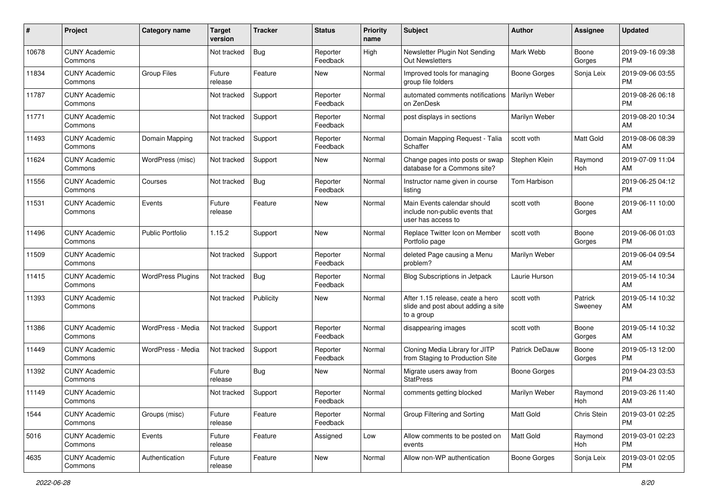| #     | Project                         | <b>Category name</b>     | <b>Target</b><br>version | <b>Tracker</b> | <b>Status</b>        | <b>Priority</b><br>name | Subject                                                                              | <b>Author</b>         | <b>Assignee</b>    | <b>Updated</b>                |
|-------|---------------------------------|--------------------------|--------------------------|----------------|----------------------|-------------------------|--------------------------------------------------------------------------------------|-----------------------|--------------------|-------------------------------|
| 10678 | <b>CUNY Academic</b><br>Commons |                          | Not tracked              | <b>Bug</b>     | Reporter<br>Feedback | High                    | Newsletter Plugin Not Sending<br>Out Newsletters                                     | Mark Webb             | Boone<br>Gorges    | 2019-09-16 09:38<br>PM        |
| 11834 | <b>CUNY Academic</b><br>Commons | <b>Group Files</b>       | Future<br>release        | Feature        | New                  | Normal                  | Improved tools for managing<br>group file folders                                    | <b>Boone Gorges</b>   | Sonja Leix         | 2019-09-06 03:55<br><b>PM</b> |
| 11787 | <b>CUNY Academic</b><br>Commons |                          | Not tracked              | Support        | Reporter<br>Feedback | Normal                  | automated comments notifications<br>on ZenDesk                                       | Marilyn Weber         |                    | 2019-08-26 06:18<br><b>PM</b> |
| 11771 | <b>CUNY Academic</b><br>Commons |                          | Not tracked              | Support        | Reporter<br>Feedback | Normal                  | post displays in sections                                                            | Marilyn Weber         |                    | 2019-08-20 10:34<br>AM        |
| 11493 | <b>CUNY Academic</b><br>Commons | Domain Mapping           | Not tracked              | Support        | Reporter<br>Feedback | Normal                  | Domain Mapping Request - Talia<br>Schaffer                                           | scott voth            | Matt Gold          | 2019-08-06 08:39<br>AM        |
| 11624 | <b>CUNY Academic</b><br>Commons | WordPress (misc)         | Not tracked              | Support        | New                  | Normal                  | Change pages into posts or swap<br>database for a Commons site?                      | Stephen Klein         | Raymond<br>Hoh     | 2019-07-09 11:04<br>AM        |
| 11556 | <b>CUNY Academic</b><br>Commons | Courses                  | Not tracked              | Bug            | Reporter<br>Feedback | Normal                  | Instructor name given in course<br>listing                                           | Tom Harbison          |                    | 2019-06-25 04:12<br><b>PM</b> |
| 11531 | <b>CUNY Academic</b><br>Commons | Events                   | Future<br>release        | Feature        | New                  | Normal                  | Main Events calendar should<br>include non-public events that<br>user has access to  | scott voth            | Boone<br>Gorges    | 2019-06-11 10:00<br>AM        |
| 11496 | <b>CUNY Academic</b><br>Commons | <b>Public Portfolio</b>  | 1.15.2                   | Support        | <b>New</b>           | Normal                  | Replace Twitter Icon on Member<br>Portfolio page                                     | scott voth            | Boone<br>Gorges    | 2019-06-06 01:03<br>PM        |
| 11509 | <b>CUNY Academic</b><br>Commons |                          | Not tracked              | Support        | Reporter<br>Feedback | Normal                  | deleted Page causing a Menu<br>problem?                                              | Marilyn Weber         |                    | 2019-06-04 09:54<br>AM        |
| 11415 | <b>CUNY Academic</b><br>Commons | <b>WordPress Plugins</b> | Not tracked              | Bug            | Reporter<br>Feedback | Normal                  | <b>Blog Subscriptions in Jetpack</b>                                                 | Laurie Hurson         |                    | 2019-05-14 10:34<br>AM        |
| 11393 | <b>CUNY Academic</b><br>Commons |                          | Not tracked              | Publicity      | New                  | Normal                  | After 1.15 release, ceate a hero<br>slide and post about adding a site<br>to a group | scott voth            | Patrick<br>Sweeney | 2019-05-14 10:32<br>AM        |
| 11386 | <b>CUNY Academic</b><br>Commons | WordPress - Media        | Not tracked              | Support        | Reporter<br>Feedback | Normal                  | disappearing images                                                                  | scott voth            | Boone<br>Gorges    | 2019-05-14 10:32<br>AM        |
| 11449 | <b>CUNY Academic</b><br>Commons | WordPress - Media        | Not tracked              | Support        | Reporter<br>Feedback | Normal                  | Cloning Media Library for JITP<br>from Staging to Production Site                    | <b>Patrick DeDauw</b> | Boone<br>Gorges    | 2019-05-13 12:00<br>PM        |
| 11392 | <b>CUNY Academic</b><br>Commons |                          | Future<br>release        | Bug            | New                  | Normal                  | Migrate users away from<br><b>StatPress</b>                                          | <b>Boone Gorges</b>   |                    | 2019-04-23 03:53<br><b>PM</b> |
| 11149 | <b>CUNY Academic</b><br>Commons |                          | Not tracked              | Support        | Reporter<br>Feedback | Normal                  | comments getting blocked                                                             | Marilyn Weber         | Raymond<br>Hoh     | 2019-03-26 11:40<br>AM        |
| 1544  | <b>CUNY Academic</b><br>Commons | Groups (misc)            | Future<br>release        | Feature        | Reporter<br>Feedback | Normal                  | Group Filtering and Sorting                                                          | Matt Gold             | Chris Stein        | 2019-03-01 02:25<br>PM        |
| 5016  | <b>CUNY Academic</b><br>Commons | Events                   | Future<br>release        | Feature        | Assigned             | Low                     | Allow comments to be posted on<br>events                                             | <b>Matt Gold</b>      | Raymond<br>Hoh     | 2019-03-01 02:23<br>PM        |
| 4635  | <b>CUNY Academic</b><br>Commons | Authentication           | Future<br>release        | Feature        | New                  | Normal                  | Allow non-WP authentication                                                          | Boone Gorges          | Sonja Leix         | 2019-03-01 02:05<br>PM        |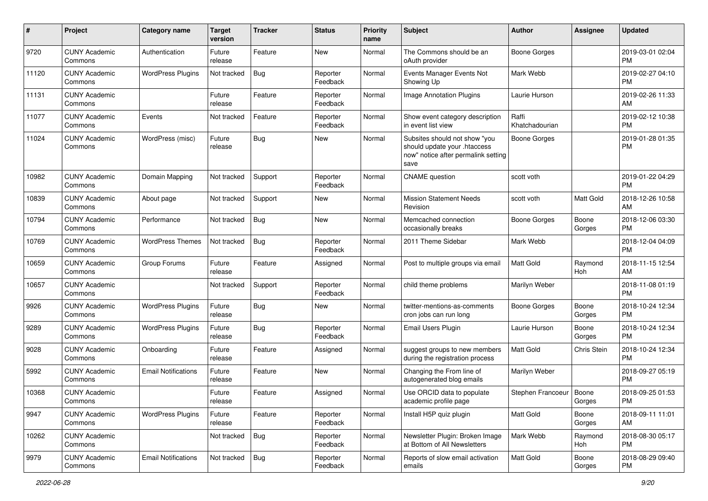| #     | Project                         | <b>Category name</b>       | <b>Target</b><br>version | <b>Tracker</b> | <b>Status</b>        | <b>Priority</b><br>name | Subject                                                                                                      | <b>Author</b>           | <b>Assignee</b> | <b>Updated</b>                |
|-------|---------------------------------|----------------------------|--------------------------|----------------|----------------------|-------------------------|--------------------------------------------------------------------------------------------------------------|-------------------------|-----------------|-------------------------------|
| 9720  | <b>CUNY Academic</b><br>Commons | Authentication             | Future<br>release        | Feature        | <b>New</b>           | Normal                  | The Commons should be an<br>oAuth provider                                                                   | <b>Boone Gorges</b>     |                 | 2019-03-01 02:04<br><b>PM</b> |
| 11120 | <b>CUNY Academic</b><br>Commons | <b>WordPress Plugins</b>   | Not tracked              | <b>Bug</b>     | Reporter<br>Feedback | Normal                  | Events Manager Events Not<br>Showing Up                                                                      | Mark Webb               |                 | 2019-02-27 04:10<br><b>PM</b> |
| 11131 | <b>CUNY Academic</b><br>Commons |                            | Future<br>release        | Feature        | Reporter<br>Feedback | Normal                  | <b>Image Annotation Plugins</b>                                                                              | Laurie Hurson           |                 | 2019-02-26 11:33<br>AM        |
| 11077 | <b>CUNY Academic</b><br>Commons | Events                     | Not tracked              | Feature        | Reporter<br>Feedback | Normal                  | Show event category description<br>in event list view                                                        | Raffi<br>Khatchadourian |                 | 2019-02-12 10:38<br><b>PM</b> |
| 11024 | <b>CUNY Academic</b><br>Commons | WordPress (misc)           | Future<br>release        | Bug            | New                  | Normal                  | Subsites should not show "you<br>should update your .htaccess<br>now" notice after permalink setting<br>save | <b>Boone Gorges</b>     |                 | 2019-01-28 01:35<br><b>PM</b> |
| 10982 | <b>CUNY Academic</b><br>Commons | Domain Mapping             | Not tracked              | Support        | Reporter<br>Feedback | Normal                  | <b>CNAME</b> question                                                                                        | scott voth              |                 | 2019-01-22 04:29<br><b>PM</b> |
| 10839 | <b>CUNY Academic</b><br>Commons | About page                 | Not tracked              | Support        | New                  | Normal                  | <b>Mission Statement Needs</b><br>Revision                                                                   | scott voth              | Matt Gold       | 2018-12-26 10:58<br>AM        |
| 10794 | <b>CUNY Academic</b><br>Commons | Performance                | Not tracked              | <b>Bug</b>     | New                  | Normal                  | Memcached connection<br>occasionally breaks                                                                  | <b>Boone Gorges</b>     | Boone<br>Gorges | 2018-12-06 03:30<br><b>PM</b> |
| 10769 | <b>CUNY Academic</b><br>Commons | <b>WordPress Themes</b>    | Not tracked              | <b>Bug</b>     | Reporter<br>Feedback | Normal                  | 2011 Theme Sidebar                                                                                           | Mark Webb               |                 | 2018-12-04 04:09<br><b>PM</b> |
| 10659 | <b>CUNY Academic</b><br>Commons | Group Forums               | Future<br>release        | Feature        | Assigned             | Normal                  | Post to multiple groups via email                                                                            | Matt Gold               | Raymond<br>Hoh  | 2018-11-15 12:54<br>AM        |
| 10657 | <b>CUNY Academic</b><br>Commons |                            | Not tracked              | Support        | Reporter<br>Feedback | Normal                  | child theme problems                                                                                         | Marilyn Weber           |                 | 2018-11-08 01:19<br><b>PM</b> |
| 9926  | <b>CUNY Academic</b><br>Commons | <b>WordPress Plugins</b>   | Future<br>release        | <b>Bug</b>     | New                  | Normal                  | twitter-mentions-as-comments<br>cron jobs can run long                                                       | <b>Boone Gorges</b>     | Boone<br>Gorges | 2018-10-24 12:34<br><b>PM</b> |
| 9289  | <b>CUNY Academic</b><br>Commons | <b>WordPress Plugins</b>   | Future<br>release        | Bug            | Reporter<br>Feedback | Normal                  | Email Users Plugin                                                                                           | Laurie Hurson           | Boone<br>Gorges | 2018-10-24 12:34<br><b>PM</b> |
| 9028  | <b>CUNY Academic</b><br>Commons | Onboarding                 | Future<br>release        | Feature        | Assigned             | Normal                  | suggest groups to new members<br>during the registration process                                             | <b>Matt Gold</b>        | Chris Stein     | 2018-10-24 12:34<br><b>PM</b> |
| 5992  | <b>CUNY Academic</b><br>Commons | <b>Email Notifications</b> | Future<br>release        | Feature        | New                  | Normal                  | Changing the From line of<br>autogenerated blog emails                                                       | Marilyn Weber           |                 | 2018-09-27 05:19<br><b>PM</b> |
| 10368 | <b>CUNY Academic</b><br>Commons |                            | Future<br>release        | Feature        | Assigned             | Normal                  | Use ORCID data to populate<br>academic profile page                                                          | Stephen Francoeur       | Boone<br>Gorges | 2018-09-25 01:53<br>PM        |
| 9947  | <b>CUNY Academic</b><br>Commons | <b>WordPress Plugins</b>   | Future<br>release        | Feature        | Reporter<br>Feedback | Normal                  | Install H5P quiz plugin                                                                                      | Matt Gold               | Boone<br>Gorges | 2018-09-11 11:01<br>AM        |
| 10262 | <b>CUNY Academic</b><br>Commons |                            | Not tracked              | Bug            | Reporter<br>Feedback | Normal                  | Newsletter Plugin: Broken Image<br>at Bottom of All Newsletters                                              | Mark Webb               | Raymond<br>Hoh  | 2018-08-30 05:17<br><b>PM</b> |
| 9979  | <b>CUNY Academic</b><br>Commons | <b>Email Notifications</b> | Not tracked              | <b>Bug</b>     | Reporter<br>Feedback | Normal                  | Reports of slow email activation<br>emails                                                                   | Matt Gold               | Boone<br>Gorges | 2018-08-29 09:40<br><b>PM</b> |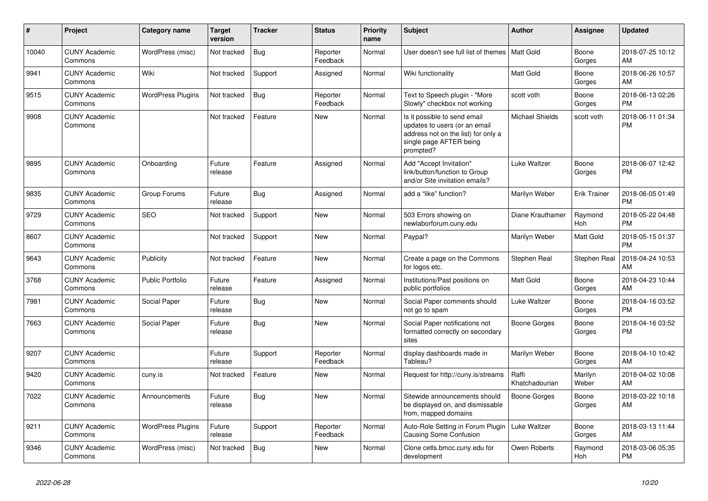| $\pmb{\#}$ | <b>Project</b>                  | Category name            | <b>Target</b><br>version | Tracker    | <b>Status</b>        | <b>Priority</b><br>name | <b>Subject</b>                                                                                                                               | Author                  | Assignee            | <b>Updated</b>                |
|------------|---------------------------------|--------------------------|--------------------------|------------|----------------------|-------------------------|----------------------------------------------------------------------------------------------------------------------------------------------|-------------------------|---------------------|-------------------------------|
| 10040      | <b>CUNY Academic</b><br>Commons | WordPress (misc)         | Not tracked              | <b>Bug</b> | Reporter<br>Feedback | Normal                  | User doesn't see full list of themes   Matt Gold                                                                                             |                         | Boone<br>Gorges     | 2018-07-25 10:12<br>AM        |
| 9941       | <b>CUNY Academic</b><br>Commons | Wiki                     | Not tracked              | Support    | Assigned             | Normal                  | Wiki functionality                                                                                                                           | <b>Matt Gold</b>        | Boone<br>Gorges     | 2018-06-26 10:57<br>AM        |
| 9515       | <b>CUNY Academic</b><br>Commons | <b>WordPress Plugins</b> | Not tracked              | <b>Bug</b> | Reporter<br>Feedback | Normal                  | Text to Speech plugin - "More<br>Slowly" checkbox not working                                                                                | scott voth              | Boone<br>Gorges     | 2018-06-13 02:26<br><b>PM</b> |
| 9908       | <b>CUNY Academic</b><br>Commons |                          | Not tracked              | Feature    | <b>New</b>           | Normal                  | Is it possible to send email<br>updates to users (or an email<br>address not on the list) for only a<br>single page AFTER being<br>prompted? | <b>Michael Shields</b>  | scott voth          | 2018-06-11 01:34<br><b>PM</b> |
| 9895       | <b>CUNY Academic</b><br>Commons | Onboarding               | Future<br>release        | Feature    | Assigned             | Normal                  | Add "Accept Invitation"<br>link/button/function to Group<br>and/or Site invitation emails?                                                   | <b>Luke Waltzer</b>     | Boone<br>Gorges     | 2018-06-07 12:42<br><b>PM</b> |
| 9835       | <b>CUNY Academic</b><br>Commons | Group Forums             | Future<br>release        | Bug        | Assigned             | Normal                  | add a "like" function?                                                                                                                       | Marilyn Weber           | <b>Erik Trainer</b> | 2018-06-05 01:49<br><b>PM</b> |
| 9729       | <b>CUNY Academic</b><br>Commons | <b>SEO</b>               | Not tracked              | Support    | New                  | Normal                  | 503 Errors showing on<br>newlaborforum.cuny.edu                                                                                              | Diane Krauthamer        | Raymond<br>Hoh      | 2018-05-22 04:48<br><b>PM</b> |
| 8607       | <b>CUNY Academic</b><br>Commons |                          | Not tracked              | Support    | <b>New</b>           | Normal                  | Paypal?                                                                                                                                      | Marilyn Weber           | Matt Gold           | 2018-05-15 01:37<br><b>PM</b> |
| 9643       | <b>CUNY Academic</b><br>Commons | Publicity                | Not tracked              | Feature    | <b>New</b>           | Normal                  | Create a page on the Commons<br>for logos etc.                                                                                               | Stephen Real            | <b>Stephen Real</b> | 2018-04-24 10:53<br>AM        |
| 3768       | <b>CUNY Academic</b><br>Commons | <b>Public Portfolio</b>  | Future<br>release        | Feature    | Assigned             | Normal                  | Institutions/Past positions on<br>public portfolios                                                                                          | <b>Matt Gold</b>        | Boone<br>Gorges     | 2018-04-23 10:44<br>AM        |
| 7981       | <b>CUNY Academic</b><br>Commons | Social Paper             | Future<br>release        | Bug        | <b>New</b>           | Normal                  | Social Paper comments should<br>not go to spam                                                                                               | Luke Waltzer            | Boone<br>Gorges     | 2018-04-16 03:52<br>PM        |
| 7663       | <b>CUNY Academic</b><br>Commons | Social Paper             | Future<br>release        | <b>Bug</b> | <b>New</b>           | Normal                  | Social Paper notifications not<br>formatted correctly on secondary<br>sites                                                                  | Boone Gorges            | Boone<br>Gorges     | 2018-04-16 03:52<br>PM        |
| 9207       | <b>CUNY Academic</b><br>Commons |                          | Future<br>release        | Support    | Reporter<br>Feedback | Normal                  | display dashboards made in<br>Tableau?                                                                                                       | Marilyn Weber           | Boone<br>Gorges     | 2018-04-10 10:42<br>AM        |
| 9420       | <b>CUNY Academic</b><br>Commons | cuny.is                  | Not tracked              | Feature    | <b>New</b>           | Normal                  | Request for http://cuny.is/streams                                                                                                           | Raffi<br>Khatchadourian | Marilyn<br>Weber    | 2018-04-02 10:08<br>AM        |
| 7022       | <b>CUNY Academic</b><br>Commons | Announcements            | Future<br>release        | <b>Bug</b> | <b>New</b>           | Normal                  | Sitewide announcements should<br>be displayed on, and dismissable<br>from, mapped domains                                                    | <b>Boone Gorges</b>     | Boone<br>Gorges     | 2018-03-22 10:18<br>AM        |
| 9211       | <b>CUNY Academic</b><br>Commons | <b>WordPress Plugins</b> | Future<br>release        | Support    | Reporter<br>Feedback | Normal                  | Auto-Role Setting in Forum Plugin<br><b>Causing Some Confusion</b>                                                                           | Luke Waltzer            | Boone<br>Gorges     | 2018-03-13 11:44<br>AM        |
| 9346       | <b>CUNY Academic</b><br>Commons | WordPress (misc)         | Not tracked              | <b>Bug</b> | <b>New</b>           | Normal                  | Clone cetls.bmcc.cuny.edu for<br>development                                                                                                 | Owen Roberts            | Raymond<br>Hoh      | 2018-03-06 05:35<br><b>PM</b> |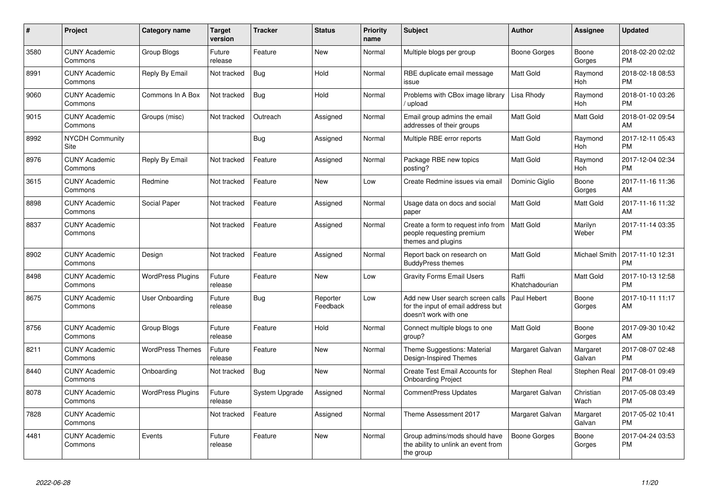| $\pmb{\#}$ | Project                         | Category name            | Target<br>version | Tracker        | <b>Status</b>        | <b>Priority</b><br>name | <b>Subject</b>                                                                                  | Author                  | <b>Assignee</b>       | Updated                       |
|------------|---------------------------------|--------------------------|-------------------|----------------|----------------------|-------------------------|-------------------------------------------------------------------------------------------------|-------------------------|-----------------------|-------------------------------|
| 3580       | <b>CUNY Academic</b><br>Commons | Group Blogs              | Future<br>release | Feature        | <b>New</b>           | Normal                  | Multiple blogs per group                                                                        | <b>Boone Gorges</b>     | Boone<br>Gorges       | 2018-02-20 02:02<br><b>PM</b> |
| 8991       | <b>CUNY Academic</b><br>Commons | Reply By Email           | Not tracked       | Bug            | Hold                 | Normal                  | RBE duplicate email message<br>issue                                                            | Matt Gold               | Raymond<br>Hoh        | 2018-02-18 08:53<br><b>PM</b> |
| 9060       | <b>CUNY Academic</b><br>Commons | Commons In A Box         | Not tracked       | <b>Bug</b>     | Hold                 | Normal                  | Problems with CBox image library<br>/ upload                                                    | Lisa Rhody              | Raymond<br>Hoh        | 2018-01-10 03:26<br>PM        |
| 9015       | <b>CUNY Academic</b><br>Commons | Groups (misc)            | Not tracked       | Outreach       | Assigned             | Normal                  | Email group admins the email<br>addresses of their groups                                       | <b>Matt Gold</b>        | Matt Gold             | 2018-01-02 09:54<br>AM        |
| 8992       | <b>NYCDH Community</b><br>Site  |                          |                   | Bug            | Assigned             | Normal                  | Multiple RBE error reports                                                                      | Matt Gold               | Raymond<br><b>Hoh</b> | 2017-12-11 05:43<br>PМ        |
| 8976       | <b>CUNY Academic</b><br>Commons | Reply By Email           | Not tracked       | Feature        | Assigned             | Normal                  | Package RBE new topics<br>posting?                                                              | Matt Gold               | Raymond<br>Hoh        | 2017-12-04 02:34<br><b>PM</b> |
| 3615       | <b>CUNY Academic</b><br>Commons | Redmine                  | Not tracked       | Feature        | <b>New</b>           | Low                     | Create Redmine issues via email                                                                 | Dominic Giglio          | Boone<br>Gorges       | 2017-11-16 11:36<br>AM        |
| 8898       | <b>CUNY Academic</b><br>Commons | Social Paper             | Not tracked       | Feature        | Assigned             | Normal                  | Usage data on docs and social<br>paper                                                          | <b>Matt Gold</b>        | <b>Matt Gold</b>      | 2017-11-16 11:32<br>AM        |
| 8837       | <b>CUNY Academic</b><br>Commons |                          | Not tracked       | Feature        | Assigned             | Normal                  | Create a form to request info from<br>people requesting premium<br>themes and plugins           | <b>Matt Gold</b>        | Marilyn<br>Weber      | 2017-11-14 03:35<br><b>PM</b> |
| 8902       | <b>CUNY Academic</b><br>Commons | Design                   | Not tracked       | Feature        | Assigned             | Normal                  | Report back on research on<br><b>BuddyPress themes</b>                                          | Matt Gold               | Michael Smith         | 2017-11-10 12:31<br>PM        |
| 8498       | <b>CUNY Academic</b><br>Commons | <b>WordPress Plugins</b> | Future<br>release | Feature        | <b>New</b>           | Low                     | <b>Gravity Forms Email Users</b>                                                                | Raffi<br>Khatchadourian | Matt Gold             | 2017-10-13 12:58<br><b>PM</b> |
| 8675       | <b>CUNY Academic</b><br>Commons | User Onboarding          | Future<br>release | Bug            | Reporter<br>Feedback | Low                     | Add new User search screen calls<br>for the input of email address but<br>doesn't work with one | <b>Paul Hebert</b>      | Boone<br>Gorges       | 2017-10-11 11:17<br>AM        |
| 8756       | <b>CUNY Academic</b><br>Commons | Group Blogs              | Future<br>release | Feature        | Hold                 | Normal                  | Connect multiple blogs to one<br>group?                                                         | <b>Matt Gold</b>        | Boone<br>Gorges       | 2017-09-30 10:42<br>AM        |
| 8211       | <b>CUNY Academic</b><br>Commons | <b>WordPress Themes</b>  | Future<br>release | Feature        | <b>New</b>           | Normal                  | Theme Suggestions: Material<br>Design-Inspired Themes                                           | Margaret Galvan         | Margaret<br>Galvan    | 2017-08-07 02:48<br><b>PM</b> |
| 8440       | <b>CUNY Academic</b><br>Commons | Onboarding               | Not tracked       | Bug            | New                  | Normal                  | <b>Create Test Email Accounts for</b><br><b>Onboarding Project</b>                              | Stephen Real            | <b>Stephen Real</b>   | 2017-08-01 09:49<br>PM        |
| 8078       | <b>CUNY Academic</b><br>Commons | <b>WordPress Plugins</b> | Future<br>release | System Upgrade | Assigned             | Normal                  | <b>CommentPress Updates</b>                                                                     | Margaret Galvan         | Christian<br>Wach     | 2017-05-08 03:49<br><b>PM</b> |
| 7828       | <b>CUNY Academic</b><br>Commons |                          | Not tracked       | Feature        | Assigned             | Normal                  | Theme Assessment 2017                                                                           | Margaret Galvan         | Margaret<br>Galvan    | 2017-05-02 10:41<br><b>PM</b> |
| 4481       | <b>CUNY Academic</b><br>Commons | Events                   | Future<br>release | Feature        | <b>New</b>           | Normal                  | Group admins/mods should have<br>the ability to unlink an event from<br>the group               | Boone Gorges            | Boone<br>Gorges       | 2017-04-24 03:53<br>РM        |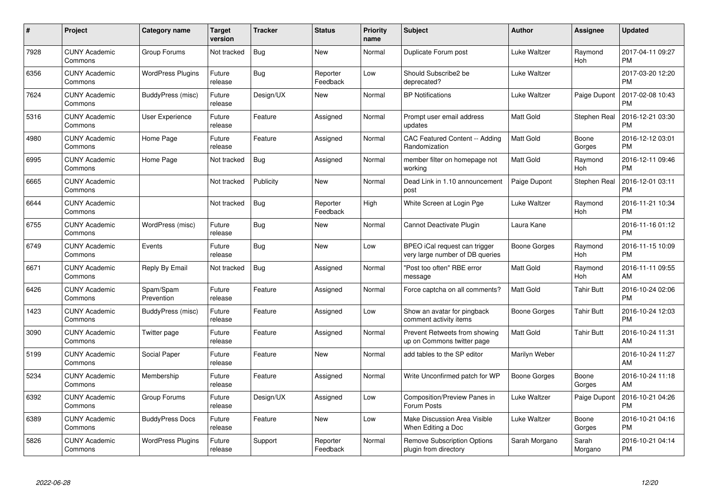| $\#$ | Project                         | <b>Category name</b>     | Target<br>version | <b>Tracker</b> | <b>Status</b>        | <b>Priority</b><br>name | <b>Subject</b>                                                   | Author              | <b>Assignee</b>     | <b>Updated</b>                |
|------|---------------------------------|--------------------------|-------------------|----------------|----------------------|-------------------------|------------------------------------------------------------------|---------------------|---------------------|-------------------------------|
| 7928 | <b>CUNY Academic</b><br>Commons | Group Forums             | Not tracked       | <b>Bug</b>     | <b>New</b>           | Normal                  | Duplicate Forum post                                             | Luke Waltzer        | Raymond<br>Hoh      | 2017-04-11 09:27<br><b>PM</b> |
| 6356 | <b>CUNY Academic</b><br>Commons | <b>WordPress Plugins</b> | Future<br>release | Bug            | Reporter<br>Feedback | Low                     | Should Subscribe2 be<br>deprecated?                              | Luke Waltzer        |                     | 2017-03-20 12:20<br><b>PM</b> |
| 7624 | <b>CUNY Academic</b><br>Commons | BuddyPress (misc)        | Future<br>release | Design/UX      | <b>New</b>           | Normal                  | <b>BP Notifications</b>                                          | Luke Waltzer        | Paige Dupont        | 2017-02-08 10:43<br><b>PM</b> |
| 5316 | <b>CUNY Academic</b><br>Commons | User Experience          | Future<br>release | Feature        | Assigned             | Normal                  | Prompt user email address<br>updates                             | Matt Gold           | <b>Stephen Real</b> | 2016-12-21 03:30<br><b>PM</b> |
| 4980 | <b>CUNY Academic</b><br>Commons | Home Page                | Future<br>release | Feature        | Assigned             | Normal                  | CAC Featured Content -- Adding<br>Randomization                  | <b>Matt Gold</b>    | Boone<br>Gorges     | 2016-12-12 03:01<br><b>PM</b> |
| 6995 | <b>CUNY Academic</b><br>Commons | Home Page                | Not tracked       | <b>Bug</b>     | Assigned             | Normal                  | member filter on homepage not<br>workina                         | <b>Matt Gold</b>    | Raymond<br>Hoh      | 2016-12-11 09:46<br><b>PM</b> |
| 6665 | <b>CUNY Academic</b><br>Commons |                          | Not tracked       | Publicity      | <b>New</b>           | Normal                  | Dead Link in 1.10 announcement<br>post                           | Paige Dupont        | Stephen Real        | 2016-12-01 03:11<br><b>PM</b> |
| 6644 | <b>CUNY Academic</b><br>Commons |                          | Not tracked       | Bug            | Reporter<br>Feedback | High                    | White Screen at Login Pge                                        | Luke Waltzer        | Raymond<br>Hoh      | 2016-11-21 10:34<br><b>PM</b> |
| 6755 | <b>CUNY Academic</b><br>Commons | WordPress (misc)         | Future<br>release | Bug            | <b>New</b>           | Normal                  | Cannot Deactivate Plugin                                         | Laura Kane          |                     | 2016-11-16 01:12<br><b>PM</b> |
| 6749 | <b>CUNY Academic</b><br>Commons | Events                   | Future<br>release | Bug            | <b>New</b>           | Low                     | BPEO iCal request can trigger<br>very large number of DB queries | Boone Gorges        | Raymond<br>Hoh      | 2016-11-15 10:09<br><b>PM</b> |
| 6671 | <b>CUNY Academic</b><br>Commons | Reply By Email           | Not tracked       | <b>Bug</b>     | Assigned             | Normal                  | 'Post too often" RBE error<br>message                            | Matt Gold           | Raymond<br>Hoh      | 2016-11-11 09:55<br>AM        |
| 6426 | <b>CUNY Academic</b><br>Commons | Spam/Spam<br>Prevention  | Future<br>release | Feature        | Assigned             | Normal                  | Force captcha on all comments?                                   | <b>Matt Gold</b>    | <b>Tahir Butt</b>   | 2016-10-24 02:06<br><b>PM</b> |
| 1423 | <b>CUNY Academic</b><br>Commons | BuddyPress (misc)        | Future<br>release | Feature        | Assigned             | Low                     | Show an avatar for pingback<br>comment activity items            | Boone Gorges        | <b>Tahir Butt</b>   | 2016-10-24 12:03<br><b>PM</b> |
| 3090 | <b>CUNY Academic</b><br>Commons | Twitter page             | Future<br>release | Feature        | Assigned             | Normal                  | Prevent Retweets from showing<br>up on Commons twitter page      | <b>Matt Gold</b>    | <b>Tahir Butt</b>   | 2016-10-24 11:31<br>AM        |
| 5199 | <b>CUNY Academic</b><br>Commons | Social Paper             | Future<br>release | Feature        | <b>New</b>           | Normal                  | add tables to the SP editor                                      | Marilyn Weber       |                     | 2016-10-24 11:27<br>AM        |
| 5234 | <b>CUNY Academic</b><br>Commons | Membership               | Future<br>release | Feature        | Assigned             | Normal                  | Write Unconfirmed patch for WP                                   | <b>Boone Gorges</b> | Boone<br>Gorges     | 2016-10-24 11:18<br>AM        |
| 6392 | <b>CUNY Academic</b><br>Commons | Group Forums             | Future<br>release | Design/UX      | Assigned             | Low                     | <b>Composition/Preview Panes in</b><br>Forum Posts               | Luke Waltzer        | Paige Dupont        | 2016-10-21 04:26<br><b>PM</b> |
| 6389 | <b>CUNY Academic</b><br>Commons | <b>BuddyPress Docs</b>   | Future<br>release | Feature        | <b>New</b>           | Low                     | Make Discussion Area Visible<br>When Editing a Doc               | Luke Waltzer        | Boone<br>Gorges     | 2016-10-21 04:16<br><b>PM</b> |
| 5826 | <b>CUNY Academic</b><br>Commons | <b>WordPress Plugins</b> | Future<br>release | Support        | Reporter<br>Feedback | Normal                  | <b>Remove Subscription Options</b><br>plugin from directory      | Sarah Morgano       | Sarah<br>Morgano    | 2016-10-21 04:14<br>PM        |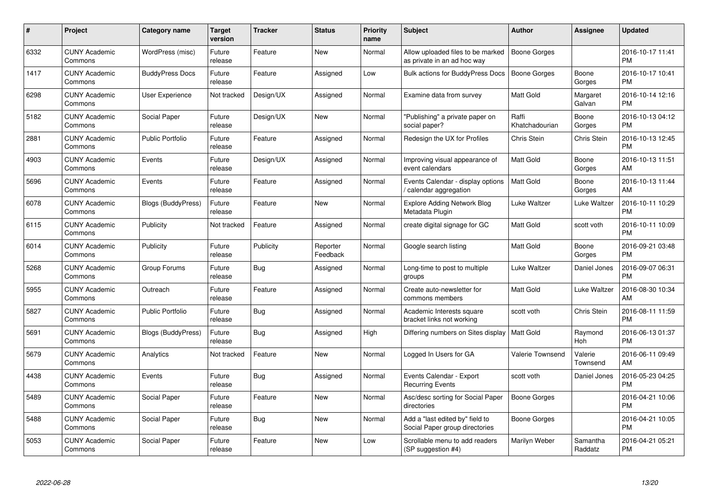| #    | Project                         | <b>Category name</b>      | Target<br>version | <b>Tracker</b> | <b>Status</b>        | <b>Priority</b><br>name | <b>Subject</b>                                                    | Author                  | <b>Assignee</b>     | <b>Updated</b>                |
|------|---------------------------------|---------------------------|-------------------|----------------|----------------------|-------------------------|-------------------------------------------------------------------|-------------------------|---------------------|-------------------------------|
| 6332 | <b>CUNY Academic</b><br>Commons | WordPress (misc)          | Future<br>release | Feature        | <b>New</b>           | Normal                  | Allow uploaded files to be marked<br>as private in an ad hoc way  | <b>Boone Gorges</b>     |                     | 2016-10-17 11:41<br><b>PM</b> |
| 1417 | <b>CUNY Academic</b><br>Commons | <b>BuddyPress Docs</b>    | Future<br>release | Feature        | Assigned             | Low                     | Bulk actions for BuddyPress Docs                                  | Boone Gorges            | Boone<br>Gorges     | 2016-10-17 10:41<br><b>PM</b> |
| 6298 | <b>CUNY Academic</b><br>Commons | <b>User Experience</b>    | Not tracked       | Design/UX      | Assigned             | Normal                  | Examine data from survey                                          | Matt Gold               | Margaret<br>Galvan  | 2016-10-14 12:16<br><b>PM</b> |
| 5182 | <b>CUNY Academic</b><br>Commons | Social Paper              | Future<br>release | Design/UX      | <b>New</b>           | Normal                  | 'Publishing" a private paper on<br>social paper?                  | Raffi<br>Khatchadourian | Boone<br>Gorges     | 2016-10-13 04:12<br><b>PM</b> |
| 2881 | <b>CUNY Academic</b><br>Commons | Public Portfolio          | Future<br>release | Feature        | Assigned             | Normal                  | Redesign the UX for Profiles                                      | Chris Stein             | Chris Stein         | 2016-10-13 12:45<br><b>PM</b> |
| 4903 | <b>CUNY Academic</b><br>Commons | Events                    | Future<br>release | Design/UX      | Assigned             | Normal                  | Improving visual appearance of<br>event calendars                 | <b>Matt Gold</b>        | Boone<br>Gorges     | 2016-10-13 11:51<br>AM        |
| 5696 | <b>CUNY Academic</b><br>Commons | Events                    | Future<br>release | Feature        | Assigned             | Normal                  | Events Calendar - display options<br>calendar aggregation /       | <b>Matt Gold</b>        | Boone<br>Gorges     | 2016-10-13 11:44<br>AM        |
| 6078 | <b>CUNY Academic</b><br>Commons | Blogs (BuddyPress)        | Future<br>release | Feature        | <b>New</b>           | Normal                  | <b>Explore Adding Network Blog</b><br>Metadata Plugin             | Luke Waltzer            | Luke Waltzer        | 2016-10-11 10:29<br><b>PM</b> |
| 6115 | <b>CUNY Academic</b><br>Commons | Publicity                 | Not tracked       | Feature        | Assigned             | Normal                  | create digital signage for GC                                     | <b>Matt Gold</b>        | scott voth          | 2016-10-11 10:09<br><b>PM</b> |
| 6014 | <b>CUNY Academic</b><br>Commons | Publicity                 | Future<br>release | Publicity      | Reporter<br>Feedback | Normal                  | Google search listing                                             | <b>Matt Gold</b>        | Boone<br>Gorges     | 2016-09-21 03:48<br>PM        |
| 5268 | <b>CUNY Academic</b><br>Commons | Group Forums              | Future<br>release | Bug            | Assigned             | Normal                  | Long-time to post to multiple<br>groups                           | Luke Waltzer            | Daniel Jones        | 2016-09-07 06:31<br><b>PM</b> |
| 5955 | <b>CUNY Academic</b><br>Commons | Outreach                  | Future<br>release | Feature        | Assigned             | Normal                  | Create auto-newsletter for<br>commons members                     | Matt Gold               | Luke Waltzer        | 2016-08-30 10:34<br>AM        |
| 5827 | <b>CUNY Academic</b><br>Commons | <b>Public Portfolio</b>   | Future<br>release | Bug            | Assigned             | Normal                  | Academic Interests square<br>bracket links not working            | scott voth              | Chris Stein         | 2016-08-11 11:59<br><b>PM</b> |
| 5691 | <b>CUNY Academic</b><br>Commons | <b>Blogs (BuddyPress)</b> | Future<br>release | Bug            | Assigned             | High                    | Differing numbers on Sites display   Matt Gold                    |                         | Raymond<br>Hoh      | 2016-06-13 01:37<br><b>PM</b> |
| 5679 | <b>CUNY Academic</b><br>Commons | Analytics                 | Not tracked       | Feature        | <b>New</b>           | Normal                  | Logged In Users for GA                                            | Valerie Townsend        | Valerie<br>Townsend | 2016-06-11 09:49<br>AM        |
| 4438 | <b>CUNY Academic</b><br>Commons | Events                    | Future<br>release | <b>Bug</b>     | Assigned             | Normal                  | Events Calendar - Export<br><b>Recurring Events</b>               | scott voth              | Daniel Jones        | 2016-05-23 04:25<br><b>PM</b> |
| 5489 | <b>CUNY Academic</b><br>Commons | Social Paper              | Future<br>release | Feature        | <b>New</b>           | Normal                  | Asc/desc sorting for Social Paper<br>directories                  | <b>Boone Gorges</b>     |                     | 2016-04-21 10:06<br><b>PM</b> |
| 5488 | <b>CUNY Academic</b><br>Commons | Social Paper              | Future<br>release | Bug            | <b>New</b>           | Normal                  | Add a "last edited by" field to<br>Social Paper group directories | Boone Gorges            |                     | 2016-04-21 10:05<br><b>PM</b> |
| 5053 | <b>CUNY Academic</b><br>Commons | Social Paper              | Future<br>release | Feature        | <b>New</b>           | Low                     | Scrollable menu to add readers<br>(SP suggestion #4)              | Marilyn Weber           | Samantha<br>Raddatz | 2016-04-21 05:21<br>PM        |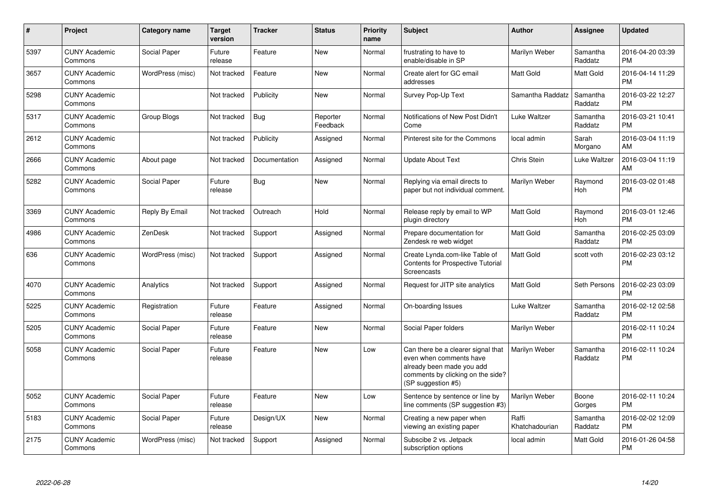| $\pmb{\#}$ | Project                         | <b>Category name</b> | <b>Target</b><br>version | <b>Tracker</b> | <b>Status</b>        | <b>Priority</b><br>name | <b>Subject</b>                                                                                                                                        | <b>Author</b>           | Assignee              | Updated                       |
|------------|---------------------------------|----------------------|--------------------------|----------------|----------------------|-------------------------|-------------------------------------------------------------------------------------------------------------------------------------------------------|-------------------------|-----------------------|-------------------------------|
| 5397       | <b>CUNY Academic</b><br>Commons | Social Paper         | Future<br>release        | Feature        | <b>New</b>           | Normal                  | frustrating to have to<br>enable/disable in SP                                                                                                        | Marilyn Weber           | Samantha<br>Raddatz   | 2016-04-20 03:39<br><b>PM</b> |
| 3657       | <b>CUNY Academic</b><br>Commons | WordPress (misc)     | Not tracked              | Feature        | New                  | Normal                  | Create alert for GC email<br>addresses                                                                                                                | <b>Matt Gold</b>        | Matt Gold             | 2016-04-14 11:29<br><b>PM</b> |
| 5298       | <b>CUNY Academic</b><br>Commons |                      | Not tracked              | Publicity      | <b>New</b>           | Normal                  | Survey Pop-Up Text                                                                                                                                    | Samantha Raddatz        | Samantha<br>Raddatz   | 2016-03-22 12:27<br>PM        |
| 5317       | <b>CUNY Academic</b><br>Commons | Group Blogs          | Not tracked              | <b>Bug</b>     | Reporter<br>Feedback | Normal                  | Notifications of New Post Didn't<br>Come                                                                                                              | Luke Waltzer            | Samantha<br>Raddatz   | 2016-03-21 10:41<br>PM        |
| 2612       | <b>CUNY Academic</b><br>Commons |                      | Not tracked              | Publicity      | Assigned             | Normal                  | Pinterest site for the Commons                                                                                                                        | local admin             | Sarah<br>Morgano      | 2016-03-04 11:19<br>AM        |
| 2666       | <b>CUNY Academic</b><br>Commons | About page           | Not tracked              | Documentation  | Assigned             | Normal                  | Update About Text                                                                                                                                     | Chris Stein             | Luke Waltzer          | 2016-03-04 11:19<br>AМ        |
| 5282       | <b>CUNY Academic</b><br>Commons | Social Paper         | Future<br>release        | <b>Bug</b>     | New                  | Normal                  | Replying via email directs to<br>paper but not individual comment.                                                                                    | Marilyn Weber           | Raymond<br><b>Hoh</b> | 2016-03-02 01:48<br>PM        |
| 3369       | <b>CUNY Academic</b><br>Commons | Reply By Email       | Not tracked              | Outreach       | Hold                 | Normal                  | Release reply by email to WP<br>plugin directory                                                                                                      | Matt Gold               | Raymond<br>Hoh        | 2016-03-01 12:46<br><b>PM</b> |
| 4986       | <b>CUNY Academic</b><br>Commons | <b>ZenDesk</b>       | Not tracked              | Support        | Assigned             | Normal                  | Prepare documentation for<br>Zendesk re web widget                                                                                                    | Matt Gold               | Samantha<br>Raddatz   | 2016-02-25 03:09<br><b>PM</b> |
| 636        | <b>CUNY Academic</b><br>Commons | WordPress (misc)     | Not tracked              | Support        | Assigned             | Normal                  | Create Lynda.com-like Table of<br><b>Contents for Prospective Tutorial</b><br>Screencasts                                                             | Matt Gold               | scott voth            | 2016-02-23 03:12<br>PM        |
| 4070       | <b>CUNY Academic</b><br>Commons | Analytics            | Not tracked              | Support        | Assigned             | Normal                  | Request for JITP site analytics                                                                                                                       | Matt Gold               | Seth Persons          | 2016-02-23 03:09<br>РM        |
| 5225       | <b>CUNY Academic</b><br>Commons | Registration         | Future<br>release        | Feature        | Assigned             | Normal                  | On-boarding Issues                                                                                                                                    | Luke Waltzer            | Samantha<br>Raddatz   | 2016-02-12 02:58<br>PM        |
| 5205       | <b>CUNY Academic</b><br>Commons | Social Paper         | Future<br>release        | Feature        | <b>New</b>           | Normal                  | Social Paper folders                                                                                                                                  | Marilyn Weber           |                       | 2016-02-11 10:24<br><b>PM</b> |
| 5058       | <b>CUNY Academic</b><br>Commons | Social Paper         | Future<br>release        | Feature        | New                  | Low                     | Can there be a clearer signal that<br>even when comments have<br>already been made you add<br>comments by clicking on the side?<br>(SP suggestion #5) | Marilyn Weber           | Samantha<br>Raddatz   | 2016-02-11 10:24<br>РM        |
| 5052       | <b>CUNY Academic</b><br>Commons | Social Paper         | Future<br>release        | Feature        | <b>New</b>           | Low                     | Sentence by sentence or line by<br>line comments (SP suggestion #3)                                                                                   | Marilyn Weber           | Boone<br>Gorges       | 2016-02-11 10:24<br><b>PM</b> |
| 5183       | <b>CUNY Academic</b><br>Commons | Social Paper         | Future<br>release        | Design/UX      | New                  | Normal                  | Creating a new paper when<br>viewing an existing paper                                                                                                | Raffi<br>Khatchadourian | Samantha<br>Raddatz   | 2016-02-02 12:09<br><b>PM</b> |
| 2175       | <b>CUNY Academic</b><br>Commons | WordPress (misc)     | Not tracked              | Support        | Assigned             | Normal                  | Subscibe 2 vs. Jetpack<br>subscription options                                                                                                        | local admin             | <b>Matt Gold</b>      | 2016-01-26 04:58<br>PM        |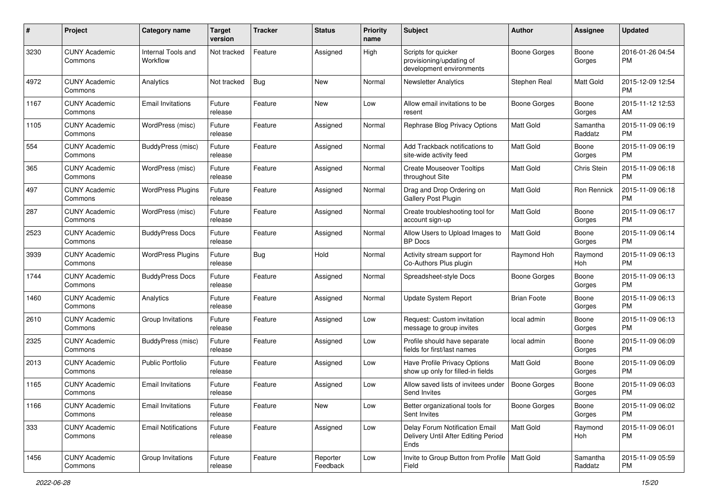| #    | Project                         | <b>Category name</b>           | <b>Target</b><br>version | Tracker    | <b>Status</b>        | <b>Priority</b><br>name | Subject                                                                       | Author              | <b>Assignee</b>     | <b>Updated</b>                |
|------|---------------------------------|--------------------------------|--------------------------|------------|----------------------|-------------------------|-------------------------------------------------------------------------------|---------------------|---------------------|-------------------------------|
| 3230 | <b>CUNY Academic</b><br>Commons | Internal Tools and<br>Workflow | Not tracked              | Feature    | Assigned             | High                    | Scripts for quicker<br>provisioning/updating of<br>development environments   | <b>Boone Gorges</b> | Boone<br>Gorges     | 2016-01-26 04:54<br><b>PM</b> |
| 4972 | <b>CUNY Academic</b><br>Commons | Analytics                      | Not tracked              | Bug        | <b>New</b>           | Normal                  | <b>Newsletter Analytics</b>                                                   | Stephen Real        | Matt Gold           | 2015-12-09 12:54<br><b>PM</b> |
| 1167 | <b>CUNY Academic</b><br>Commons | <b>Email Invitations</b>       | Future<br>release        | Feature    | <b>New</b>           | Low                     | Allow email invitations to be<br>resent                                       | Boone Gorges        | Boone<br>Gorges     | 2015-11-12 12:53<br>AM        |
| 1105 | <b>CUNY Academic</b><br>Commons | WordPress (misc)               | Future<br>release        | Feature    | Assigned             | Normal                  | Rephrase Blog Privacy Options                                                 | Matt Gold           | Samantha<br>Raddatz | 2015-11-09 06:19<br><b>PM</b> |
| 554  | <b>CUNY Academic</b><br>Commons | BuddyPress (misc)              | Future<br>release        | Feature    | Assigned             | Normal                  | Add Trackback notifications to<br>site-wide activity feed                     | Matt Gold           | Boone<br>Gorges     | 2015-11-09 06:19<br><b>PM</b> |
| 365  | <b>CUNY Academic</b><br>Commons | WordPress (misc)               | Future<br>release        | Feature    | Assigned             | Normal                  | <b>Create Mouseover Tooltips</b><br>throughout Site                           | <b>Matt Gold</b>    | Chris Stein         | 2015-11-09 06:18<br><b>PM</b> |
| 497  | <b>CUNY Academic</b><br>Commons | <b>WordPress Plugins</b>       | Future<br>release        | Feature    | Assigned             | Normal                  | Drag and Drop Ordering on<br>Gallery Post Plugin                              | Matt Gold           | Ron Rennick         | 2015-11-09 06:18<br><b>PM</b> |
| 287  | <b>CUNY Academic</b><br>Commons | WordPress (misc)               | Future<br>release        | Feature    | Assigned             | Normal                  | Create troubleshooting tool for<br>account sign-up                            | <b>Matt Gold</b>    | Boone<br>Gorges     | 2015-11-09 06:17<br><b>PM</b> |
| 2523 | <b>CUNY Academic</b><br>Commons | <b>BuddyPress Docs</b>         | Future<br>release        | Feature    | Assigned             | Normal                  | Allow Users to Upload Images to<br><b>BP</b> Docs                             | Matt Gold           | Boone<br>Gorges     | 2015-11-09 06:14<br><b>PM</b> |
| 3939 | <b>CUNY Academic</b><br>Commons | <b>WordPress Plugins</b>       | Future<br>release        | <b>Bug</b> | Hold                 | Normal                  | Activity stream support for<br>Co-Authors Plus plugin                         | Raymond Hoh         | Raymond<br>Hoh      | 2015-11-09 06:13<br><b>PM</b> |
| 1744 | <b>CUNY Academic</b><br>Commons | <b>BuddyPress Docs</b>         | Future<br>release        | Feature    | Assigned             | Normal                  | Spreadsheet-style Docs                                                        | Boone Gorges        | Boone<br>Gorges     | 2015-11-09 06:13<br><b>PM</b> |
| 1460 | <b>CUNY Academic</b><br>Commons | Analytics                      | Future<br>release        | Feature    | Assigned             | Normal                  | Update System Report                                                          | <b>Brian Foote</b>  | Boone<br>Gorges     | 2015-11-09 06:13<br><b>PM</b> |
| 2610 | <b>CUNY Academic</b><br>Commons | Group Invitations              | Future<br>release        | Feature    | Assigned             | Low                     | Request: Custom invitation<br>message to group invites                        | local admin         | Boone<br>Gorges     | 2015-11-09 06:13<br><b>PM</b> |
| 2325 | <b>CUNY Academic</b><br>Commons | BuddyPress (misc)              | Future<br>release        | Feature    | Assigned             | Low                     | Profile should have separate<br>fields for first/last names                   | local admin         | Boone<br>Gorges     | 2015-11-09 06:09<br><b>PM</b> |
| 2013 | <b>CUNY Academic</b><br>Commons | <b>Public Portfolio</b>        | Future<br>release        | Feature    | Assigned             | Low                     | Have Profile Privacy Options<br>show up only for filled-in fields             | <b>Matt Gold</b>    | Boone<br>Gorges     | 2015-11-09 06:09<br><b>PM</b> |
| 1165 | <b>CUNY Academic</b><br>Commons | <b>Email Invitations</b>       | Future<br>release        | Feature    | Assigned             | Low                     | Allow saved lists of invitees under<br>Send Invites                           | <b>Boone Gorges</b> | Boone<br>Gorges     | 2015-11-09 06:03<br>PM        |
| 1166 | <b>CUNY Academic</b><br>Commons | <b>Email Invitations</b>       | Future<br>release        | Feature    | New                  | Low                     | Better organizational tools for<br>Sent Invites                               | <b>Boone Gorges</b> | Boone<br>Gorges     | 2015-11-09 06:02<br><b>PM</b> |
| 333  | <b>CUNY Academic</b><br>Commons | <b>Email Notifications</b>     | Future<br>release        | Feature    | Assigned             | Low                     | Delay Forum Notification Email<br>Delivery Until After Editing Period<br>Ends | Matt Gold           | Raymond<br>Hoh      | 2015-11-09 06:01<br><b>PM</b> |
| 1456 | <b>CUNY Academic</b><br>Commons | Group Invitations              | Future<br>release        | Feature    | Reporter<br>Feedback | Low                     | Invite to Group Button from Profile   Matt Gold<br>Field                      |                     | Samantha<br>Raddatz | 2015-11-09 05:59<br><b>PM</b> |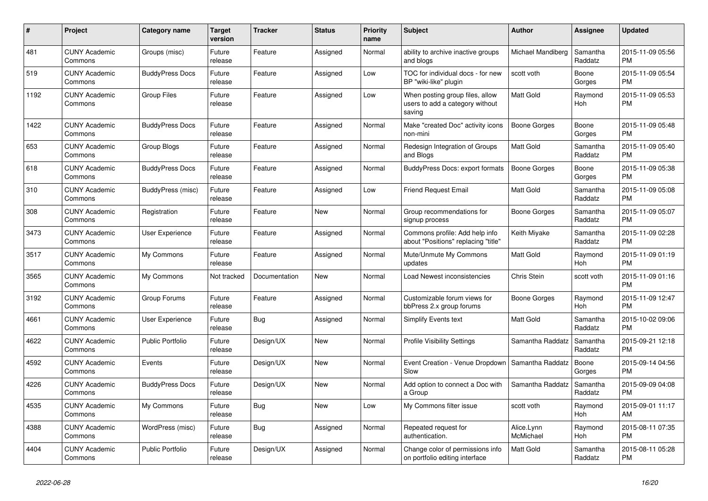| $\#$ | <b>Project</b>                  | Category name           | <b>Target</b><br>version | Tracker       | <b>Status</b> | <b>Priority</b><br>name | <b>Subject</b>                                                               | <b>Author</b>           | Assignee              | <b>Updated</b>                |
|------|---------------------------------|-------------------------|--------------------------|---------------|---------------|-------------------------|------------------------------------------------------------------------------|-------------------------|-----------------------|-------------------------------|
| 481  | <b>CUNY Academic</b><br>Commons | Groups (misc)           | Future<br>release        | Feature       | Assigned      | Normal                  | ability to archive inactive groups<br>and blogs                              | Michael Mandiberg       | Samantha<br>Raddatz   | 2015-11-09 05:56<br><b>PM</b> |
| 519  | <b>CUNY Academic</b><br>Commons | <b>BuddyPress Docs</b>  | Future<br>release        | Feature       | Assigned      | Low                     | TOC for individual docs - for new<br>BP "wiki-like" plugin                   | scott voth              | Boone<br>Gorges       | 2015-11-09 05:54<br><b>PM</b> |
| 1192 | <b>CUNY Academic</b><br>Commons | Group Files             | Future<br>release        | Feature       | Assigned      | Low                     | When posting group files, allow<br>users to add a category without<br>saving | Matt Gold               | Raymond<br>Hoh        | 2015-11-09 05:53<br><b>PM</b> |
| 1422 | <b>CUNY Academic</b><br>Commons | <b>BuddyPress Docs</b>  | Future<br>release        | Feature       | Assigned      | Normal                  | Make "created Doc" activity icons<br>non-mini                                | <b>Boone Gorges</b>     | Boone<br>Gorges       | 2015-11-09 05:48<br><b>PM</b> |
| 653  | <b>CUNY Academic</b><br>Commons | Group Blogs             | Future<br>release        | Feature       | Assigned      | Normal                  | Redesign Integration of Groups<br>and Blogs                                  | <b>Matt Gold</b>        | Samantha<br>Raddatz   | 2015-11-09 05:40<br><b>PM</b> |
| 618  | <b>CUNY Academic</b><br>Commons | <b>BuddyPress Docs</b>  | Future<br>release        | Feature       | Assigned      | Normal                  | BuddyPress Docs: export formats                                              | Boone Gorges            | Boone<br>Gorges       | 2015-11-09 05:38<br><b>PM</b> |
| 310  | <b>CUNY Academic</b><br>Commons | BuddyPress (misc)       | Future<br>release        | Feature       | Assigned      | Low                     | <b>Friend Request Email</b>                                                  | Matt Gold               | Samantha<br>Raddatz   | 2015-11-09 05:08<br><b>PM</b> |
| 308  | <b>CUNY Academic</b><br>Commons | Registration            | Future<br>release        | Feature       | <b>New</b>    | Normal                  | Group recommendations for<br>signup process                                  | Boone Gorges            | Samantha<br>Raddatz   | 2015-11-09 05:07<br><b>PM</b> |
| 3473 | <b>CUNY Academic</b><br>Commons | <b>User Experience</b>  | Future<br>release        | Feature       | Assigned      | Normal                  | Commons profile: Add help info<br>about "Positions" replacing "title"        | Keith Miyake            | Samantha<br>Raddatz   | 2015-11-09 02:28<br><b>PM</b> |
| 3517 | <b>CUNY Academic</b><br>Commons | My Commons              | Future<br>release        | Feature       | Assigned      | Normal                  | Mute/Unmute My Commons<br>updates                                            | Matt Gold               | Raymond<br>Hoh        | 2015-11-09 01:19<br><b>PM</b> |
| 3565 | <b>CUNY Academic</b><br>Commons | My Commons              | Not tracked              | Documentation | <b>New</b>    | Normal                  | Load Newest inconsistencies                                                  | Chris Stein             | scott voth            | 2015-11-09 01:16<br><b>PM</b> |
| 3192 | <b>CUNY Academic</b><br>Commons | Group Forums            | Future<br>release        | Feature       | Assigned      | Normal                  | Customizable forum views for<br>bbPress 2.x group forums                     | Boone Gorges            | Raymond<br><b>Hoh</b> | 2015-11-09 12:47<br><b>PM</b> |
| 4661 | <b>CUNY Academic</b><br>Commons | User Experience         | Future<br>release        | <b>Bug</b>    | Assigned      | Normal                  | <b>Simplify Events text</b>                                                  | <b>Matt Gold</b>        | Samantha<br>Raddatz   | 2015-10-02 09:06<br><b>PM</b> |
| 4622 | <b>CUNY Academic</b><br>Commons | <b>Public Portfolio</b> | Future<br>release        | Design/UX     | <b>New</b>    | Normal                  | <b>Profile Visibility Settings</b>                                           | Samantha Raddatz        | Samantha<br>Raddatz   | 2015-09-21 12:18<br><b>PM</b> |
| 4592 | <b>CUNY Academic</b><br>Commons | Events                  | Future<br>release        | Design/UX     | <b>New</b>    | Normal                  | Event Creation - Venue Dropdown   Samantha Raddatz<br>Slow                   |                         | Boone<br>Gorges       | 2015-09-14 04:56<br><b>PM</b> |
| 4226 | <b>CUNY Academic</b><br>Commons | <b>BuddyPress Docs</b>  | Future<br>release        | Design/UX     | <b>New</b>    | Normal                  | Add option to connect a Doc with<br>a Group                                  | Samantha Raddatz        | Samantha<br>Raddatz   | 2015-09-09 04:08<br><b>PM</b> |
| 4535 | <b>CUNY Academic</b><br>Commons | My Commons              | Future<br>release        | Bug           | <b>New</b>    | Low                     | My Commons filter issue                                                      | scott voth              | Raymond<br>Hoh        | 2015-09-01 11:17<br>AM        |
| 4388 | <b>CUNY Academic</b><br>Commons | WordPress (misc)        | Future<br>release        | Bug           | Assigned      | Normal                  | Repeated request for<br>authentication.                                      | Alice.Lynn<br>McMichael | Raymond<br>Hoh        | 2015-08-11 07:35<br><b>PM</b> |
| 4404 | <b>CUNY Academic</b><br>Commons | <b>Public Portfolio</b> | Future<br>release        | Design/UX     | Assigned      | Normal                  | Change color of permissions info<br>on portfolio editing interface           | <b>Matt Gold</b>        | Samantha<br>Raddatz   | 2015-08-11 05:28<br><b>PM</b> |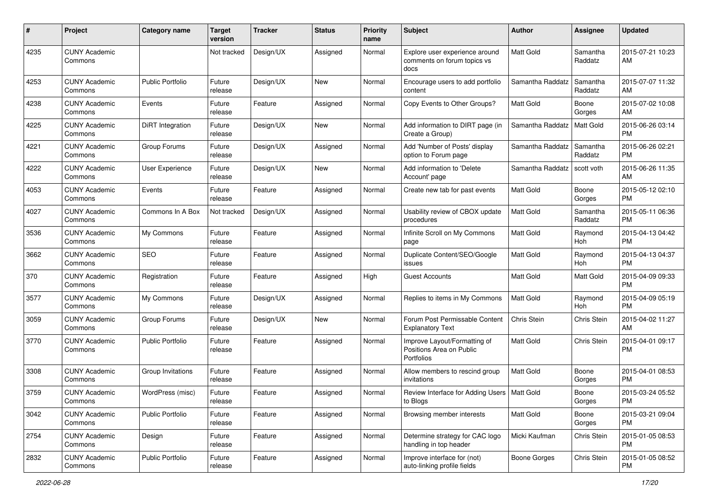| #    | Project                         | <b>Category name</b>    | <b>Target</b><br>version | <b>Tracker</b> | <b>Status</b> | <b>Priority</b><br>name | Subject                                                                | <b>Author</b>       | <b>Assignee</b>     | <b>Updated</b>                |
|------|---------------------------------|-------------------------|--------------------------|----------------|---------------|-------------------------|------------------------------------------------------------------------|---------------------|---------------------|-------------------------------|
| 4235 | <b>CUNY Academic</b><br>Commons |                         | Not tracked              | Design/UX      | Assigned      | Normal                  | Explore user experience around<br>comments on forum topics vs<br>docs  | <b>Matt Gold</b>    | Samantha<br>Raddatz | 2015-07-21 10:23<br>AM        |
| 4253 | <b>CUNY Academic</b><br>Commons | <b>Public Portfolio</b> | Future<br>release        | Design/UX      | New           | Normal                  | Encourage users to add portfolio<br>content                            | Samantha Raddatz    | Samantha<br>Raddatz | 2015-07-07 11:32<br>AM        |
| 4238 | <b>CUNY Academic</b><br>Commons | Events                  | Future<br>release        | Feature        | Assigned      | Normal                  | Copy Events to Other Groups?                                           | Matt Gold           | Boone<br>Gorges     | 2015-07-02 10:08<br>AM        |
| 4225 | <b>CUNY Academic</b><br>Commons | <b>DiRT</b> Integration | Future<br>release        | Design/UX      | New           | Normal                  | Add information to DIRT page (in<br>Create a Group)                    | Samantha Raddatz    | Matt Gold           | 2015-06-26 03:14<br><b>PM</b> |
| 4221 | <b>CUNY Academic</b><br>Commons | Group Forums            | Future<br>release        | Design/UX      | Assigned      | Normal                  | Add 'Number of Posts' display<br>option to Forum page                  | Samantha Raddatz    | Samantha<br>Raddatz | 2015-06-26 02:21<br><b>PM</b> |
| 4222 | <b>CUNY Academic</b><br>Commons | User Experience         | Future<br>release        | Design/UX      | New           | Normal                  | Add information to 'Delete<br>Account' page                            | Samantha Raddatz    | scott voth          | 2015-06-26 11:35<br>AM        |
| 4053 | <b>CUNY Academic</b><br>Commons | Events                  | Future<br>release        | Feature        | Assigned      | Normal                  | Create new tab for past events                                         | Matt Gold           | Boone<br>Gorges     | 2015-05-12 02:10<br><b>PM</b> |
| 4027 | <b>CUNY Academic</b><br>Commons | Commons In A Box        | Not tracked              | Design/UX      | Assigned      | Normal                  | Usability review of CBOX update<br>procedures                          | Matt Gold           | Samantha<br>Raddatz | 2015-05-11 06:36<br><b>PM</b> |
| 3536 | <b>CUNY Academic</b><br>Commons | My Commons              | Future<br>release        | Feature        | Assigned      | Normal                  | Infinite Scroll on My Commons<br>page                                  | <b>Matt Gold</b>    | Raymond<br>Hoh      | 2015-04-13 04:42<br><b>PM</b> |
| 3662 | <b>CUNY Academic</b><br>Commons | <b>SEO</b>              | Future<br>release        | Feature        | Assigned      | Normal                  | Duplicate Content/SEO/Google<br>issues                                 | Matt Gold           | Raymond<br>Hoh      | 2015-04-13 04:37<br><b>PM</b> |
| 370  | <b>CUNY Academic</b><br>Commons | Registration            | Future<br>release        | Feature        | Assigned      | High                    | <b>Guest Accounts</b>                                                  | Matt Gold           | Matt Gold           | 2015-04-09 09:33<br><b>PM</b> |
| 3577 | <b>CUNY Academic</b><br>Commons | My Commons              | Future<br>release        | Design/UX      | Assigned      | Normal                  | Replies to items in My Commons                                         | <b>Matt Gold</b>    | Raymond<br>Hoh      | 2015-04-09 05:19<br><b>PM</b> |
| 3059 | <b>CUNY Academic</b><br>Commons | Group Forums            | Future<br>release        | Design/UX      | New           | Normal                  | Forum Post Permissable Content<br><b>Explanatory Text</b>              | Chris Stein         | Chris Stein         | 2015-04-02 11:27<br>AM        |
| 3770 | <b>CUNY Academic</b><br>Commons | <b>Public Portfolio</b> | Future<br>release        | Feature        | Assigned      | Normal                  | Improve Layout/Formatting of<br>Positions Area on Public<br>Portfolios | <b>Matt Gold</b>    | Chris Stein         | 2015-04-01 09:17<br><b>PM</b> |
| 3308 | <b>CUNY Academic</b><br>Commons | Group Invitations       | Future<br>release        | Feature        | Assigned      | Normal                  | Allow members to rescind group<br>invitations                          | Matt Gold           | Boone<br>Gorges     | 2015-04-01 08:53<br>PM        |
| 3759 | <b>CUNY Academic</b><br>Commons | WordPress (misc)        | Future<br>release        | Feature        | Assigned      | Normal                  | Review Interface for Adding Users   Matt Gold<br>to Blogs              |                     | Boone<br>Gorges     | 2015-03-24 05:52<br>PM        |
| 3042 | <b>CUNY Academic</b><br>Commons | <b>Public Portfolio</b> | Future<br>release        | Feature        | Assigned      | Normal                  | Browsing member interests                                              | Matt Gold           | Boone<br>Gorges     | 2015-03-21 09:04<br><b>PM</b> |
| 2754 | <b>CUNY Academic</b><br>Commons | Design                  | Future<br>release        | Feature        | Assigned      | Normal                  | Determine strategy for CAC logo<br>handling in top header              | Micki Kaufman       | Chris Stein         | 2015-01-05 08:53<br>PM        |
| 2832 | <b>CUNY Academic</b><br>Commons | Public Portfolio        | Future<br>release        | Feature        | Assigned      | Normal                  | Improve interface for (not)<br>auto-linking profile fields             | <b>Boone Gorges</b> | Chris Stein         | 2015-01-05 08:52<br>PM        |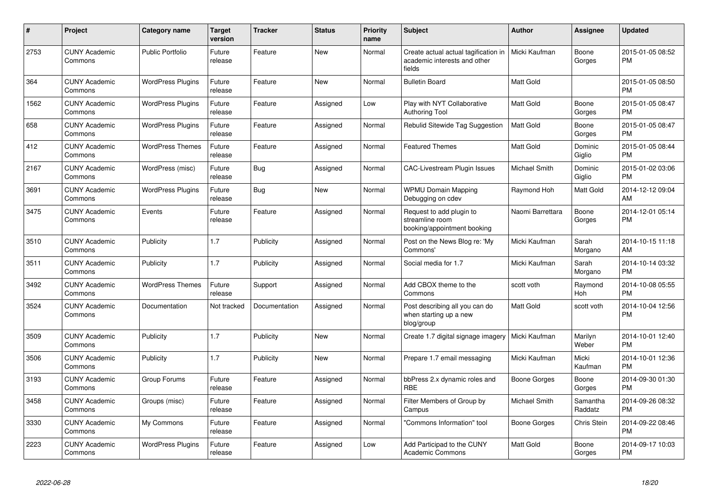| #    | Project                         | <b>Category name</b>     | Target<br>version | <b>Tracker</b> | <b>Status</b> | <b>Priority</b><br>name | <b>Subject</b>                                                                 | Author           | <b>Assignee</b>     | <b>Updated</b>                |
|------|---------------------------------|--------------------------|-------------------|----------------|---------------|-------------------------|--------------------------------------------------------------------------------|------------------|---------------------|-------------------------------|
| 2753 | <b>CUNY Academic</b><br>Commons | <b>Public Portfolio</b>  | Future<br>release | Feature        | <b>New</b>    | Normal                  | Create actual actual tagification in<br>academic interests and other<br>fields | Micki Kaufman    | Boone<br>Gorges     | 2015-01-05 08:52<br><b>PM</b> |
| 364  | <b>CUNY Academic</b><br>Commons | <b>WordPress Plugins</b> | Future<br>release | Feature        | <b>New</b>    | Normal                  | <b>Bulletin Board</b>                                                          | Matt Gold        |                     | 2015-01-05 08:50<br><b>PM</b> |
| 1562 | <b>CUNY Academic</b><br>Commons | <b>WordPress Plugins</b> | Future<br>release | Feature        | Assigned      | Low                     | Play with NYT Collaborative<br><b>Authoring Tool</b>                           | <b>Matt Gold</b> | Boone<br>Gorges     | 2015-01-05 08:47<br><b>PM</b> |
| 658  | <b>CUNY Academic</b><br>Commons | <b>WordPress Plugins</b> | Future<br>release | Feature        | Assigned      | Normal                  | Rebulid Sitewide Tag Suggestion                                                | <b>Matt Gold</b> | Boone<br>Gorges     | 2015-01-05 08:47<br><b>PM</b> |
| 412  | <b>CUNY Academic</b><br>Commons | <b>WordPress Themes</b>  | Future<br>release | Feature        | Assigned      | Normal                  | <b>Featured Themes</b>                                                         | Matt Gold        | Dominic<br>Giglio   | 2015-01-05 08:44<br><b>PM</b> |
| 2167 | <b>CUNY Academic</b><br>Commons | WordPress (misc)         | Future<br>release | Bug            | Assigned      | Normal                  | <b>CAC-Livestream Plugin Issues</b>                                            | Michael Smith    | Dominic<br>Giglio   | 2015-01-02 03:06<br><b>PM</b> |
| 3691 | <b>CUNY Academic</b><br>Commons | <b>WordPress Plugins</b> | Future<br>release | Bug            | <b>New</b>    | Normal                  | <b>WPMU Domain Mapping</b><br>Debugging on cdev                                | Raymond Hoh      | <b>Matt Gold</b>    | 2014-12-12 09:04<br>AM        |
| 3475 | <b>CUNY Academic</b><br>Commons | Events                   | Future<br>release | Feature        | Assigned      | Normal                  | Request to add plugin to<br>streamline room<br>booking/appointment booking     | Naomi Barrettara | Boone<br>Gorges     | 2014-12-01 05:14<br><b>PM</b> |
| 3510 | <b>CUNY Academic</b><br>Commons | Publicity                | 1.7               | Publicity      | Assigned      | Normal                  | Post on the News Blog re: 'My<br>Commons'                                      | Micki Kaufman    | Sarah<br>Morgano    | 2014-10-15 11:18<br>AM        |
| 3511 | <b>CUNY Academic</b><br>Commons | Publicity                | 1.7               | Publicity      | Assigned      | Normal                  | Social media for 1.7                                                           | Micki Kaufman    | Sarah<br>Morgano    | 2014-10-14 03:32<br><b>PM</b> |
| 3492 | <b>CUNY Academic</b><br>Commons | <b>WordPress Themes</b>  | Future<br>release | Support        | Assigned      | Normal                  | Add CBOX theme to the<br>Commons                                               | scott voth       | Raymond<br>Hoh      | 2014-10-08 05:55<br><b>PM</b> |
| 3524 | <b>CUNY Academic</b><br>Commons | Documentation            | Not tracked       | Documentation  | Assigned      | Normal                  | Post describing all you can do<br>when starting up a new<br>blog/group         | Matt Gold        | scott voth          | 2014-10-04 12:56<br><b>PM</b> |
| 3509 | <b>CUNY Academic</b><br>Commons | Publicity                | 1.7               | Publicity      | <b>New</b>    | Normal                  | Create 1.7 digital signage imagery   Micki Kaufman                             |                  | Marilyn<br>Weber    | 2014-10-01 12:40<br><b>PM</b> |
| 3506 | <b>CUNY Academic</b><br>Commons | Publicity                | 1.7               | Publicity      | New           | Normal                  | Prepare 1.7 email messaging                                                    | Micki Kaufman    | Micki<br>Kaufman    | 2014-10-01 12:36<br><b>PM</b> |
| 3193 | <b>CUNY Academic</b><br>Commons | Group Forums             | Future<br>release | Feature        | Assigned      | Normal                  | bbPress 2.x dynamic roles and<br>RBE                                           | Boone Gorges     | Boone<br>Gorges     | 2014-09-30 01:30<br><b>PM</b> |
| 3458 | <b>CUNY Academic</b><br>Commons | Groups (misc)            | Future<br>release | Feature        | Assigned      | Normal                  | Filter Members of Group by<br>Campus                                           | Michael Smith    | Samantha<br>Raddatz | 2014-09-26 08:32<br><b>PM</b> |
| 3330 | <b>CUNY Academic</b><br>Commons | My Commons               | Future<br>release | Feature        | Assigned      | Normal                  | 'Commons Information" tool                                                     | Boone Gorges     | Chris Stein         | 2014-09-22 08:46<br><b>PM</b> |
| 2223 | <b>CUNY Academic</b><br>Commons | <b>WordPress Plugins</b> | Future<br>release | Feature        | Assigned      | Low                     | Add Participad to the CUNY<br>Academic Commons                                 | <b>Matt Gold</b> | Boone<br>Gorges     | 2014-09-17 10:03<br><b>PM</b> |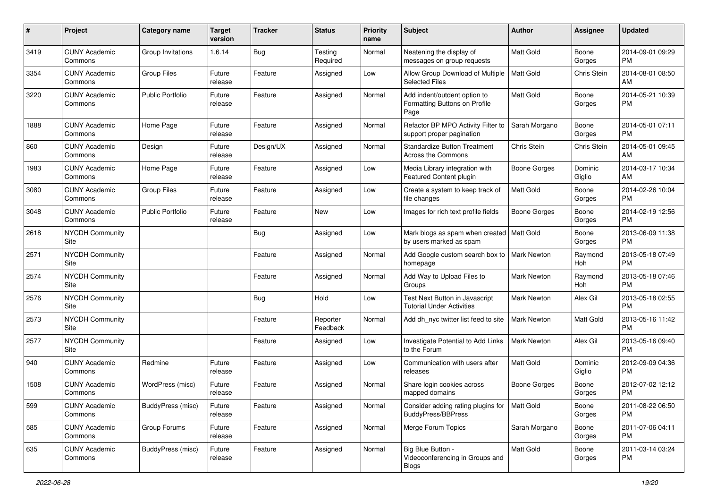| #    | Project                         | <b>Category name</b>     | <b>Target</b><br>version | <b>Tracker</b> | <b>Status</b>        | <b>Priority</b><br>name | Subject                                                                     | Author             | <b>Assignee</b>   | <b>Updated</b>                |
|------|---------------------------------|--------------------------|--------------------------|----------------|----------------------|-------------------------|-----------------------------------------------------------------------------|--------------------|-------------------|-------------------------------|
| 3419 | <b>CUNY Academic</b><br>Commons | Group Invitations        | 1.6.14                   | Bug            | Testing<br>Required  | Normal                  | Neatening the display of<br>messages on group requests                      | Matt Gold          | Boone<br>Gorges   | 2014-09-01 09:29<br><b>PM</b> |
| 3354 | <b>CUNY Academic</b><br>Commons | <b>Group Files</b>       | Future<br>release        | Feature        | Assigned             | Low                     | Allow Group Download of Multiple<br><b>Selected Files</b>                   | <b>Matt Gold</b>   | Chris Stein       | 2014-08-01 08:50<br>AM        |
| 3220 | <b>CUNY Academic</b><br>Commons | <b>Public Portfolio</b>  | Future<br>release        | Feature        | Assigned             | Normal                  | Add indent/outdent option to<br>Formatting Buttons on Profile<br>Page       | Matt Gold          | Boone<br>Gorges   | 2014-05-21 10:39<br><b>PM</b> |
| 1888 | <b>CUNY Academic</b><br>Commons | Home Page                | Future<br>release        | Feature        | Assigned             | Normal                  | Refactor BP MPO Activity Filter to<br>support proper pagination             | Sarah Morgano      | Boone<br>Gorges   | 2014-05-01 07:11<br><b>PM</b> |
| 860  | <b>CUNY Academic</b><br>Commons | Design                   | Future<br>release        | Design/UX      | Assigned             | Normal                  | <b>Standardize Button Treatment</b><br>Across the Commons                   | Chris Stein        | Chris Stein       | 2014-05-01 09:45<br>AM        |
| 1983 | <b>CUNY Academic</b><br>Commons | Home Page                | Future<br>release        | Feature        | Assigned             | Low                     | Media Library integration with<br>Featured Content plugin                   | Boone Gorges       | Dominic<br>Giglio | 2014-03-17 10:34<br>AM        |
| 3080 | <b>CUNY Academic</b><br>Commons | <b>Group Files</b>       | Future<br>release        | Feature        | Assigned             | Low                     | Create a system to keep track of<br>file changes                            | Matt Gold          | Boone<br>Gorges   | 2014-02-26 10:04<br><b>PM</b> |
| 3048 | <b>CUNY Academic</b><br>Commons | <b>Public Portfolio</b>  | Future<br>release        | Feature        | <b>New</b>           | Low                     | Images for rich text profile fields                                         | Boone Gorges       | Boone<br>Gorges   | 2014-02-19 12:56<br><b>PM</b> |
| 2618 | <b>NYCDH Community</b><br>Site  |                          |                          | Bug            | Assigned             | Low                     | Mark blogs as spam when created   Matt Gold<br>by users marked as spam      |                    | Boone<br>Gorges   | 2013-06-09 11:38<br><b>PM</b> |
| 2571 | NYCDH Community<br>Site         |                          |                          | Feature        | Assigned             | Normal                  | Add Google custom search box to   Mark Newton<br>homepage                   |                    | Raymond<br>Hoh    | 2013-05-18 07:49<br><b>PM</b> |
| 2574 | <b>NYCDH Community</b><br>Site  |                          |                          | Feature        | Assigned             | Normal                  | Add Way to Upload Files to<br>Groups                                        | <b>Mark Newton</b> | Raymond<br>Hoh    | 2013-05-18 07:46<br><b>PM</b> |
| 2576 | <b>NYCDH Community</b><br>Site  |                          |                          | Bug            | Hold                 | Low                     | Test Next Button in Javascript<br><b>Tutorial Under Activities</b>          | Mark Newton        | Alex Gil          | 2013-05-18 02:55<br><b>PM</b> |
| 2573 | <b>NYCDH Community</b><br>Site  |                          |                          | Feature        | Reporter<br>Feedback | Normal                  | Add dh_nyc twitter list feed to site                                        | <b>Mark Newton</b> | Matt Gold         | 2013-05-16 11:42<br><b>PM</b> |
| 2577 | <b>NYCDH Community</b><br>Site  |                          |                          | Feature        | Assigned             | Low                     | Investigate Potential to Add Links<br>to the Forum                          | <b>Mark Newton</b> | Alex Gil          | 2013-05-16 09:40<br><b>PM</b> |
| 940  | <b>CUNY Academic</b><br>Commons | Redmine                  | Future<br>release        | Feature        | Assigned             | Low                     | Communication with users after<br>releases                                  | <b>Matt Gold</b>   | Dominic<br>Giglio | 2012-09-09 04:36<br><b>PM</b> |
| 1508 | <b>CUNY Academic</b><br>Commons | WordPress (misc)         | Future<br>release        | Feature        | Assigned             | Normal                  | Share login cookies across<br>mapped domains                                | Boone Gorges       | Boone<br>Gorges   | 2012-07-02 12:12<br><b>PM</b> |
| 599  | <b>CUNY Academic</b><br>Commons | <b>BuddyPress</b> (misc) | Future<br>release        | Feature        | Assigned             | Normal                  | Consider adding rating plugins for   Matt Gold<br><b>BuddyPress/BBPress</b> |                    | Boone<br>Gorges   | 2011-08-22 06:50<br><b>PM</b> |
| 585  | <b>CUNY Academic</b><br>Commons | Group Forums             | Future<br>release        | Feature        | Assigned             | Normal                  | Merge Forum Topics                                                          | Sarah Morgano      | Boone<br>Gorges   | 2011-07-06 04:11<br><b>PM</b> |
| 635  | <b>CUNY Academic</b><br>Commons | BuddyPress (misc)        | Future<br>release        | Feature        | Assigned             | Normal                  | Big Blue Button -<br>Videoconferencing in Groups and<br>Blogs               | Matt Gold          | Boone<br>Gorges   | 2011-03-14 03:24<br><b>PM</b> |